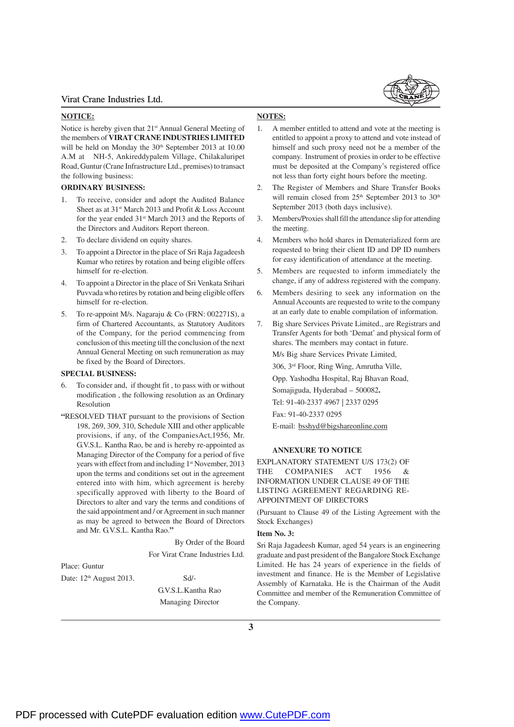#### **NOTICE:**

Notice is hereby given that 21<sup>st</sup> Annual General Meeting of the members of **VIRAT CRANE INDUSTRIES LIMITED** will be held on Monday the 30<sup>th</sup> September 2013 at 10.00 A.M at NH-5, Ankireddypalem Village, Chilakaluripet Road, Guntur (Crane Infrastructure Ltd., premises) to transact the following business:

#### **ORDINARY BUSINESS:**

- 1. To receive, consider and adopt the Audited Balance Sheet as at 31<sup>st</sup> March 2013 and Profit & Loss Account for the year ended 31<sup>st</sup> March 2013 and the Reports of the Directors and Auditors Report thereon.
- 2. To declare dividend on equity shares.
- 3. To appoint a Director in the place of Sri Raja Jagadeesh Kumar who retires by rotation and being eligible offers himself for re-election.
- 4. To appoint a Director in the place of Sri Venkata Srihari Puvvada who retires by rotation and being eligible offers himself for re-election.
- 5. To re-appoint M/s. Nagaraju & Co (FRN: 002271S), a firm of Chartered Accountants, as Statutory Auditors of the Company, for the period commencing from conclusion of this meeting till the conclusion of the next Annual General Meeting on such remuneration as may be fixed by the Board of Directors.

#### **SPECIAL BUSINESS:**

- 6. To consider and, if thought fit , to pass with or without modification , the following resolution as an Ordinary Resolution
- **"**RESOLVED THAT pursuant to the provisions of Section 198, 269, 309, 310, Schedule XIII and other applicable provisions, if any, of the CompaniesAct,1956, Mr. G.V.S.L. Kantha Rao, be and is hereby re-appointed as Managing Director of the Company for a period of five years with effect from and including 1<sup>st</sup> November, 2013 upon the terms and conditions set out in the agreement entered into with him, which agreement is hereby specifically approved with liberty to the Board of Directors to alter and vary the terms and conditions of the said appointment and / or Agreement in such manner as may be agreed to between the Board of Directors and Mr. G.V.S.L. Kantha Rao.**"**

 By Order of the Board For Virat Crane Industries Ltd.

Place: Guntur

Date:  $12<sup>th</sup>$  August 2013. Sd/-G.V.S.L.Kantha Rao Managing Director

## **NOTES:**

- 1. A member entitled to attend and vote at the meeting is entitled to appoint a proxy to attend and vote instead of himself and such proxy need not be a member of the company. Instrument of proxies in order to be effective must be deposited at the Company's registered office not less than forty eight hours before the meeting.
- 2. The Register of Members and Share Transfer Books will remain closed from 25<sup>th</sup> September 2013 to 30<sup>th</sup> September 2013 (both days inclusive).
- 3. Members/Proxies shall fill the attendance slip for attending the meeting.
- 4. Members who hold shares in Dematerialized form are requested to bring their client ID and DP ID numbers for easy identification of attendance at the meeting.
- 5. Members are requested to inform immediately the change, if any of address registered with the company.
- 6. Members desiring to seek any information on the Annual Accounts are requested to write to the company at an early date to enable compilation of information.
- 7. Big share Services Private Limited., are Registrars and Transfer Agents for both 'Demat' and physical form of shares. The members may contact in future.

M/s Big share Services Private Limited,

306, 3rd Floor, Ring Wing, Amrutha Ville,

Opp. Yashodha Hospital, Raj Bhavan Road,

Somajiguda, Hyderabad – 500082**.** Tel: 91-40-2337 4967 | 2337 0295

Fax: 91-40-2337 0295

E-mail: bsshyd@bigshareonline.com

#### **ANNEXURE TO NOTICE**

EXPLANATORY STATEMENT U/S 173(2) OF THE COMPANIES ACT 1956 & INFORMATION UNDER CLAUSE 49 OF THE LISTING AGREEMENT REGARDING RE-APPOINTMENT OF DIRECTORS

(Pursuant to Clause 49 of the Listing Agreement with the Stock Exchanges)

## **Item No. 3:**

Sri Raja Jagadeesh Kumar, aged 54 years is an engineering graduate and past president of the Bangalore Stock Exchange Limited. He has 24 years of experience in the fields of investment and finance. He is the Member of Legislative Assembly of Karnataka. He is the Chairman of the Audit Committee and member of the Remuneration Committee of the Company.

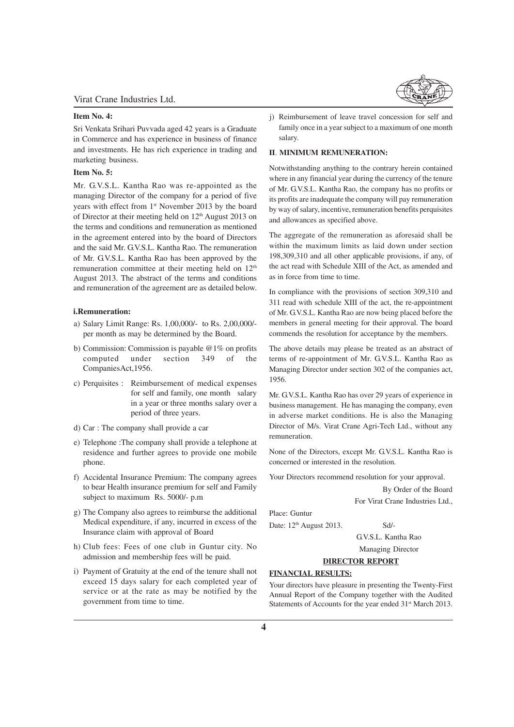## **Item No. 4:**

Sri Venkata Srihari Puvvada aged 42 years is a Graduate in Commerce and has experience in business of finance and investments. He has rich experience in trading and marketing business.

#### **Item No. 5:**

Mr. G.V.S.L. Kantha Rao was re-appointed as the managing Director of the company for a period of five years with effect from 1<sup>st</sup> November 2013 by the board of Director at their meeting held on  $12<sup>th</sup>$  August 2013 on the terms and conditions and remuneration as mentioned in the agreement entered into by the board of Directors and the said Mr. G.V.S.L. Kantha Rao. The remuneration of Mr. G.V.S.L. Kantha Rao has been approved by the remuneration committee at their meeting held on 12<sup>th</sup> August 2013. The abstract of the terms and conditions and remuneration of the agreement are as detailed below.

#### **i.Remuneration:**

- a) Salary Limit Range: Rs. 1,00,000/- to Rs. 2,00,000/ per month as may be determined by the Board.
- b) Commission: Commission is payable @1% on profits computed under section 349 of the CompaniesAct,1956.
- c) Perquisites : Reimbursement of medical expenses for self and family, one month salary in a year or three months salary over a period of three years.
- d) Car : The company shall provide a car
- e) Telephone :The company shall provide a telephone at residence and further agrees to provide one mobile phone.
- f) Accidental Insurance Premium: The company agrees to bear Health insurance premium for self and Family subject to maximum Rs. 5000/- p.m
- g) The Company also agrees to reimburse the additional Medical expenditure, if any, incurred in excess of the Insurance claim with approval of Board
- h) Club fees: Fees of one club in Guntur city. No admission and membership fees will be paid.
- i) Payment of Gratuity at the end of the tenure shall not exceed 15 days salary for each completed year of service or at the rate as may be notified by the government from time to time.



j) Reimbursement of leave travel concession for self and family once in a year subject to a maximum of one month salary.

## **II**. **MINIMUM REMUNERATION:**

Notwithstanding anything to the contrary herein contained where in any financial year during the currency of the tenure of Mr. G.V.S.L. Kantha Rao, the company has no profits or its profits are inadequate the company will pay remuneration by way of salary, incentive, remuneration benefits perquisites and allowances as specified above.

The aggregate of the remuneration as aforesaid shall be within the maximum limits as laid down under section 198,309,310 and all other applicable provisions, if any, of the act read with Schedule XIII of the Act, as amended and as in force from time to time.

In compliance with the provisions of section 309,310 and 311 read with schedule XIII of the act, the re-appointment of Mr. G.V.S.L. Kantha Rao are now being placed before the members in general meeting for their approval. The board commends the resolution for acceptance by the members.

The above details may please be treated as an abstract of terms of re-appointment of Mr. G.V.S.L. Kantha Rao as Managing Director under section 302 of the companies act, 1956.

Mr. G.V.S.L. Kantha Rao has over 29 years of experience in business management. He has managing the company, even in adverse market conditions. He is also the Managing Director of M/s. Virat Crane Agri-Tech Ltd., without any remuneration.

None of the Directors, except Mr. G.V.S.L. Kantha Rao is concerned or interested in the resolution.

Your Directors recommend resolution for your approval.

By Order of the Board

For Virat Crane Industries Ltd.,

Date:  $12<sup>th</sup>$  August 2013. Sd/-

Place: Guntur

G.V.S.L. Kantha Rao

Managing Director

## **DIRECTOR REPORT**

## **FINANCIAL RESULTS:**

Your directors have pleasure in presenting the Twenty-First Annual Report of the Company together with the Audited Statements of Accounts for the year ended 31<sup>st</sup> March 2013.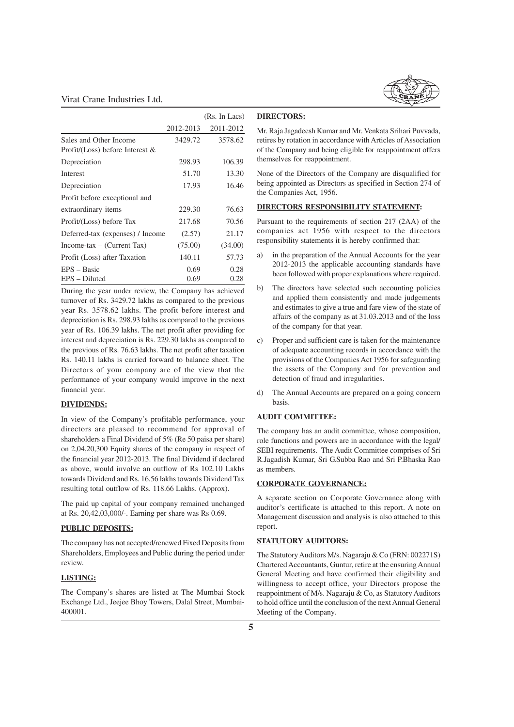

|                                    |           | (Rs. In Lacs) |
|------------------------------------|-----------|---------------|
|                                    | 2012-2013 | 2011-2012     |
| Sales and Other Income             | 3429.72   | 3578.62       |
| Profit/(Loss) before Interest $\&$ |           |               |
| Depreciation                       | 298.93    | 106.39        |
| Interest                           | 51.70     | 13.30         |
| Depreciation                       | 17.93     | 16.46         |
| Profit before exceptional and      |           |               |
| extraordinary items                | 229.30    | 76.63         |
| Profit/(Loss) before Tax           | 217.68    | 70.56         |
| Deferred-tax (expenses) / Income   | (2.57)    | 21.17         |
| $Income$ -tax – (Current Tax)      | (75.00)   | (34.00)       |
| Profit (Loss) after Taxation       | 140.11    | 57.73         |
| $EPS - Basic$                      | 0.69      | 0.28          |
| EPS – Diluted                      | 0.69      | 0.28          |

During the year under review, the Company has achieved turnover of Rs. 3429.72 lakhs as compared to the previous year Rs. 3578.62 lakhs. The profit before interest and depreciation is Rs. 298.93 lakhs as compared to the previous year of Rs. 106.39 lakhs. The net profit after providing for interest and depreciation is Rs. 229.30 lakhs as compared to the previous of Rs. 76.63 lakhs. The net profit after taxation Rs. 140.11 lakhs is carried forward to balance sheet. The Directors of your company are of the view that the performance of your company would improve in the next financial year.

## **DIVIDENDS:**

In view of the Company's profitable performance, your directors are pleased to recommend for approval of shareholders a Final Dividend of 5% (Re 50 paisa per share) on 2,04,20,300 Equity shares of the company in respect of the financial year 2012-2013. The final Dividend if declared as above, would involve an outflow of Rs 102.10 Lakhs towards Dividend and Rs. 16.56 lakhs towards Dividend Tax resulting total outflow of Rs. 118.66 Lakhs. (Approx).

The paid up capital of your company remained unchanged at Rs. 20,42,03,000/-. Earning per share was Rs 0.69.

#### **PUBLIC DEPOSITS:**

The company has not accepted/renewed Fixed Deposits from Shareholders, Employees and Public during the period under review.

#### **LISTING:**

The Company's shares are listed at The Mumbai Stock Exchange Ltd., Jeejee Bhoy Towers, Dalal Street, Mumbai-400001.

#### **DIRECTORS:**

Mr. Raja Jagadeesh Kumar and Mr. Venkata Srihari Puvvada, retires by rotation in accordance with Articles of Association of the Company and being eligible for reappointment offers themselves for reappointment.

None of the Directors of the Company are disqualified for being appointed as Directors as specified in Section 274 of the Companies Act, 1956.

## **DIRECTORS RESPONSIBILITY STATEMENT:**

Pursuant to the requirements of section 217 (2AA) of the companies act 1956 with respect to the directors responsibility statements it is hereby confirmed that:

- a) in the preparation of the Annual Accounts for the year 2012-2013 the applicable accounting standards have been followed with proper explanations where required.
- b) The directors have selected such accounting policies and applied them consistently and made judgements and estimates to give a true and fare view of the state of affairs of the company as at 31.03.2013 and of the loss of the company for that year.
- c) Proper and sufficient care is taken for the maintenance of adequate accounting records in accordance with the provisions of the Companies Act 1956 for safeguarding the assets of the Company and for prevention and detection of fraud and irregularities.
- d) The Annual Accounts are prepared on a going concern basis.

## **AUDIT COMMITTEE:**

The company has an audit committee, whose composition, role functions and powers are in accordance with the legal/ SEBI requirements. The Audit Committee comprises of Sri R.Jagadish Kumar, Sri G.Subba Rao and Sri P.Bhaska Rao as members.

#### **CORPORATE GOVERNANCE:**

A separate section on Corporate Governance along with auditor's certificate is attached to this report. A note on Management discussion and analysis is also attached to this report.

## **STATUTORY AUDITORS:**

The Statutory Auditors M/s. Nagaraju & Co (FRN: 002271S) Chartered Accountants, Guntur, retire at the ensuring Annual General Meeting and have confirmed their eligibility and willingness to accept office, your Directors propose the reappointment of M/s. Nagaraju & Co, as Statutory Auditors to hold office until the conclusion of the next Annual General Meeting of the Company.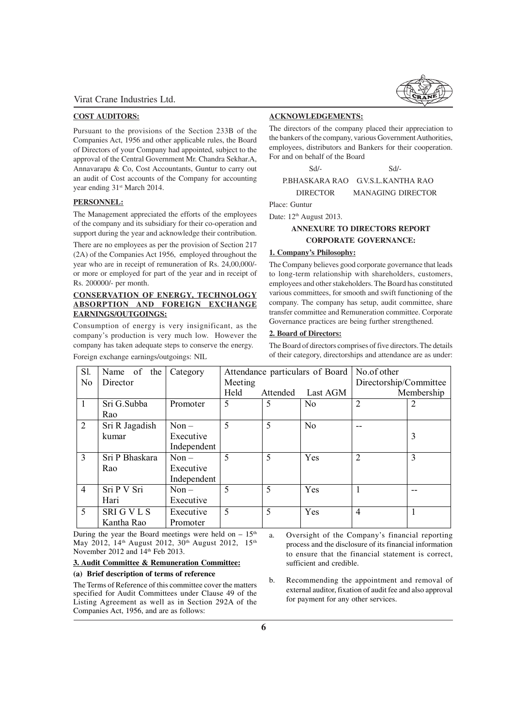#### **COST AUDITORS:**

Pursuant to the provisions of the Section 233B of the Companies Act, 1956 and other applicable rules, the Board of Directors of your Company had appointed, subject to the approval of the Central Government Mr. Chandra Sekhar.A, Annavarapu & Co, Cost Accountants, Guntur to carry out an audit of Cost accounts of the Company for accounting year ending  $31<sup>st</sup>$  March 2014.

## **PERSONNEL:**

The Management appreciated the efforts of the employees of the company and its subsidiary for their co-operation and support during the year and acknowledge their contribution.

There are no employees as per the provision of Section 217 (2A) of the Companies Act 1956, employed throughout the year who are in receipt of remuneration of Rs. 24,00,000/ or more or employed for part of the year and in receipt of Rs. 200000/- per month.

## **CONSERVATION OF ENERGY, TECHNOLOGY ABSORPTION AND FOREIGN EXCHANGE EARNINGS/OUTGOINGS:**

Consumption of energy is very insignificant, as the company's production is very much low. However the company has taken adequate steps to conserve the energy.

Foreign exchange earnings/outgoings: NIL

**ACKNOWLEDGEMENTS:**

The directors of the company placed their appreciation to the bankers of the company, various Government Authorities, employees, distributors and Bankers for their cooperation. For and on behalf of the Board

Sd/- Sd/- P.BHASKARA RAO G.V.S.L.KANTHA RAO DIRECTOR MANAGING DIRECTOR

Place: Guntur

Date:  $12<sup>th</sup>$  August 2013.

## **ANNEXURE TO DIRECTORS REPORT CORPORATE GOVERNANCE:**

## **1. Company's Philosophy:**

The Company believes good corporate governance that leads to long-term relationship with shareholders, customers, employees and other stakeholders. The Board has constituted various committees, for smooth and swift functioning of the company. The company has setup, audit committee, share transfer committee and Remuneration committee. Corporate Governance practices are being further strengthened.

## **2. Board of Directors:**

The Board of directors comprises of five directors. The details of their category, directorships and attendance are as under:

| Sl.            | Name of the    | Category    |         |          | Attendance particulars of Board | No.of other            |            |
|----------------|----------------|-------------|---------|----------|---------------------------------|------------------------|------------|
| N <sub>0</sub> | Director       |             | Meeting |          |                                 | Directorship/Committee |            |
|                |                |             | Held    | Attended | Last AGM                        |                        | Membership |
| $\mathbf{1}$   | Sri G.Subba    | Promoter    | 5       | 5        | N <sub>0</sub>                  | $\overline{2}$         | 2          |
|                | Rao            |             |         |          |                                 |                        |            |
| 2              | Sri R Jagadish | $Non -$     | 5       | 5        | N <sub>0</sub>                  | --                     |            |
|                | kumar          | Executive   |         |          |                                 |                        | 3          |
|                |                | Independent |         |          |                                 |                        |            |
| 3              | Sri P Bhaskara | $Non -$     | 5       | 5        | Yes                             | $\overline{2}$         | 3          |
|                | Rao            | Executive   |         |          |                                 |                        |            |
|                |                | Independent |         |          |                                 |                        |            |
| $\overline{4}$ | Sri P V Sri    | $Non-$      | 5       | 5        | Yes                             |                        |            |
|                | Hari           | Executive   |         |          |                                 |                        |            |
| 5              | <b>SRIGVLS</b> | Executive   | 5       | 5        | Yes                             | $\overline{4}$         |            |
|                | Kantha Rao     | Promoter    |         |          |                                 |                        |            |

During the year the Board meetings were held on  $-15<sup>th</sup>$ May 2012, 14<sup>th</sup> August 2012, 30<sup>th</sup> August 2012, 15<sup>th</sup> November 2012 and 14th Feb 2013.

#### **3. Audit Committee & Remuneration Committee:**

#### **(a) Brief description of terms of reference**

The Terms of Reference of this committee cover the matters specified for Audit Committees under Clause 49 of the Listing Agreement as well as in Section 292A of the Companies Act, 1956, and are as follows:

a. Oversight of the Company's financial reporting process and the disclosure of its financial information to ensure that the financial statement is correct, sufficient and credible.

b. Recommending the appointment and removal of external auditor, fixation of audit fee and also approval for payment for any other services.

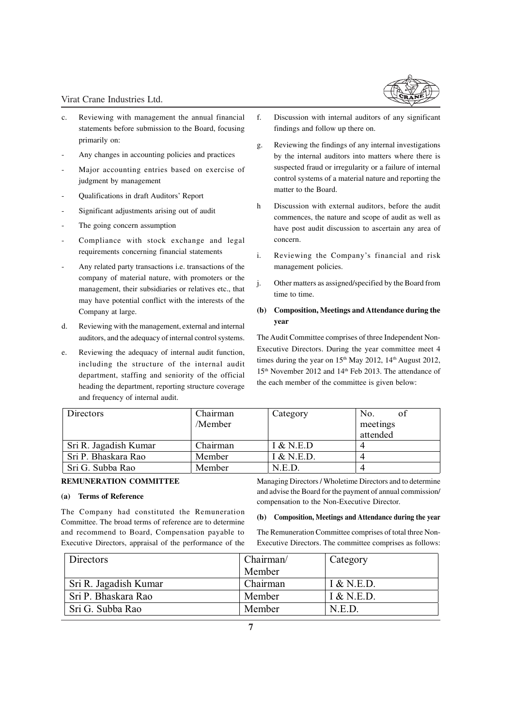- c. Reviewing with management the annual financial statements before submission to the Board, focusing primarily on:
- Any changes in accounting policies and practices
- Major accounting entries based on exercise of judgment by management
- Qualifications in draft Auditors' Report
- Significant adjustments arising out of audit
- The going concern assumption
- Compliance with stock exchange and legal requirements concerning financial statements
- Any related party transactions i.e. transactions of the company of material nature, with promoters or the management, their subsidiaries or relatives etc., that may have potential conflict with the interests of the Company at large.
- d. Reviewing with the management, external and internal auditors, and the adequacy of internal control systems.
- e. Reviewing the adequacy of internal audit function, including the structure of the internal audit department, staffing and seniority of the official heading the department, reporting structure coverage and frequency of internal audit.
- f. Discussion with internal auditors of any significant findings and follow up there on.
- g. Reviewing the findings of any internal investigations by the internal auditors into matters where there is suspected fraud or irregularity or a failure of internal control systems of a material nature and reporting the matter to the Board.
- h Discussion with external auditors, before the audit commences, the nature and scope of audit as well as have post audit discussion to ascertain any area of concern.
- i. Reviewing the Company's financial and risk management policies.
- j. Other matters as assigned/specified by the Board from time to time.

## **(b) Composition, Meetings and Attendance during the year**

The Audit Committee comprises of three Independent Non-Executive Directors. During the year committee meet 4 times during the year on  $15<sup>th</sup>$  May 2012,  $14<sup>th</sup>$  August 2012, 15<sup>th</sup> November 2012 and 14<sup>th</sup> Feb 2013. The attendance of the each member of the committee is given below:

| Directors             | Chairman<br>/Member | Category   | of<br>No.<br>meetings<br>attended |
|-----------------------|---------------------|------------|-----------------------------------|
| Sri R. Jagadish Kumar | Chairman            | I & N.E.D  |                                   |
| Sri P. Bhaskara Rao   | Member              | I & N.E.D. |                                   |
| Sri G. Subba Rao      | Member              | N.E.D.     |                                   |

## **REMUNERATION COMMITTEE**

## **(a) Terms of Reference**

The Company had constituted the Remuneration Committee. The broad terms of reference are to determine and recommend to Board, Compensation payable to Executive Directors, appraisal of the performance of the

Managing Directors / Wholetime Directors and to determine and advise the Board for the payment of annual commission/ compensation to the Non-Executive Director.

#### **(b) Composition, Meetings and Attendance during the year**

The Remuneration Committee comprises of total three Non-Executive Directors. The committee comprises as follows:

| Directors             | Chairman/ | Category   |
|-----------------------|-----------|------------|
|                       | Member    |            |
| Sri R. Jagadish Kumar | Chairman  | I & N.E.D. |
| Sri P. Bhaskara Rao   | Member    | I & N.E.D. |
| Sri G. Subba Rao      | Member    | N.E.D.     |

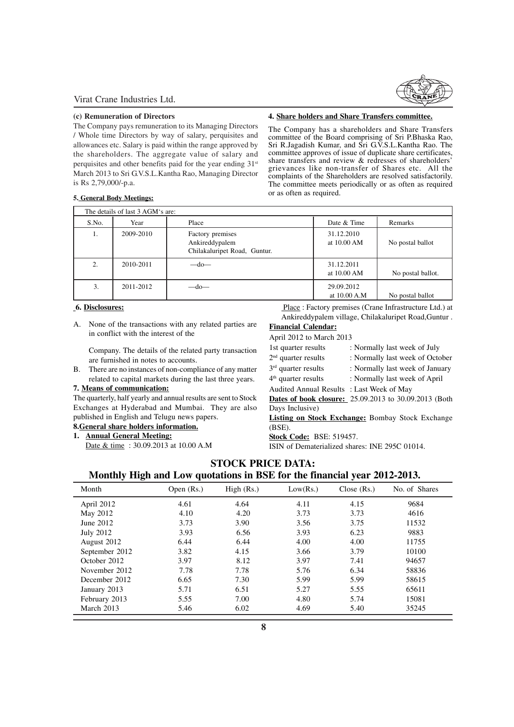#### **(c) Remuneration of Directors**

The Company pays remuneration to its Managing Directors / Whole time Directors by way of salary, perquisites and allowances etc. Salary is paid within the range approved by the shareholders. The aggregate value of salary and perquisites and other benefits paid for the year ending 31<sup>st</sup> March 2013 to Sri G.V.S.L.Kantha Rao, Managing Director is Rs 2,79,000/-p.a.

#### **4. Share holders and Share Transfers committee.**

The Company has a shareholders and Share Transfers committee of the Board comprising of Sri P.Bhaska Rao, Sri R.Jagadish Kumar, and Sri G.V.S.L.Kantha Rao. The committee approves of issue of duplicate share certificates, share transfers and review & redresses of shareholders' grievances like non-transfer of Shares etc. All the complaints of the Shareholders are resolved satisfactorily. The committee meets periodically or as often as required or as often as required.

## **5. General Body Meetings:**

|       | The details of last 3 AGM's are: |                                                                    |                            |                   |  |  |
|-------|----------------------------------|--------------------------------------------------------------------|----------------------------|-------------------|--|--|
| S.No. | Year                             | Place                                                              | Date & Time                | Remarks           |  |  |
| 1.    | 2009-2010                        | Factory premises<br>Ankireddypalem<br>Chilakaluripet Road, Guntur. | 31.12.2010<br>at 10.00 AM  | No postal ballot  |  |  |
| 2.    | 2010-2011                        | $-do-$                                                             | 31.12.2011<br>at 10.00 AM  | No postal ballot. |  |  |
| 3.    | 2011-2012                        | $-do-$                                                             | 29.09.2012<br>at 10.00 A.M | No postal ballot  |  |  |

## **6. Disclosures:**

A. None of the transactions with any related parties are in conflict with the interest of the

Company. The details of the related party transaction are furnished in notes to accounts.

B. There are no instances of non-compliance of any matter related to capital markets during the last three years.

## **7. Means of communication:**

The quarterly, half yearly and annual results are sent to Stock Exchanges at Hyderabad and Mumbai. They are also published in English and Telugu news papers.

## **8.General share holders information.**

#### **1. Annual General Meeting:**

Date & time : 30.09.2013 at 10.00 A.M

 Place : Factory premises (Crane Infrastructure Ltd.) at Ankireddypalem village, Chilakaluripet Road,Guntur .

## **Financial Calendar:**

April 2012 to March 2013

| 1st quarter results                       | : Normally last week of July                          |
|-------------------------------------------|-------------------------------------------------------|
| $2nd$ quarter results                     | : Normally last week of October                       |
| $3rd$ quarter results                     | : Normally last week of January                       |
| $4th$ quarter results                     | : Normally last week of April                         |
| Audited Annual Results : Last Week of May |                                                       |
|                                           | Dates of book closure: 25.09.2013 to 30.09.2013 (Both |
| Days Inclusive)                           |                                                       |
|                                           |                                                       |

**Listing on Stock Exchange:** Bombay Stock Exchange (BSE).

**Stock Code:** BSE: 519457.

ISIN of Dematerialized shares: INE 295C 01014.

## **STOCK PRICE DATA:**

## **Monthly High and Low quotations in BSE for the financial year 2012-2013.**

| Month            | Open $(Rs.)$ | High (Rs.) | Low(Rs.) | Close (Rs.) | No. of Shares |
|------------------|--------------|------------|----------|-------------|---------------|
| April 2012       | 4.61         | 4.64       | 4.11     | 4.15        | 9684          |
| May 2012         | 4.10         | 4.20       | 3.73     | 3.73        | 4616          |
| June 2012        | 3.73         | 3.90       | 3.56     | 3.75        | 11532         |
| <b>July 2012</b> | 3.93         | 6.56       | 3.93     | 6.23        | 9883          |
| August 2012      | 6.44         | 6.44       | 4.00     | 4.00        | 11755         |
| September 2012   | 3.82         | 4.15       | 3.66     | 3.79        | 10100         |
| October 2012     | 3.97         | 8.12       | 3.97     | 7.41        | 94657         |
| November 2012    | 7.78         | 7.78       | 5.76     | 6.34        | 58836         |
| December 2012    | 6.65         | 7.30       | 5.99     | 5.99        | 58615         |
| January 2013     | 5.71         | 6.51       | 5.27     | 5.55        | 65611         |
| February 2013    | 5.55         | 7.00       | 4.80     | 5.74        | 15081         |
| March 2013       | 5.46         | 6.02       | 4.69     | 5.40        | 35245         |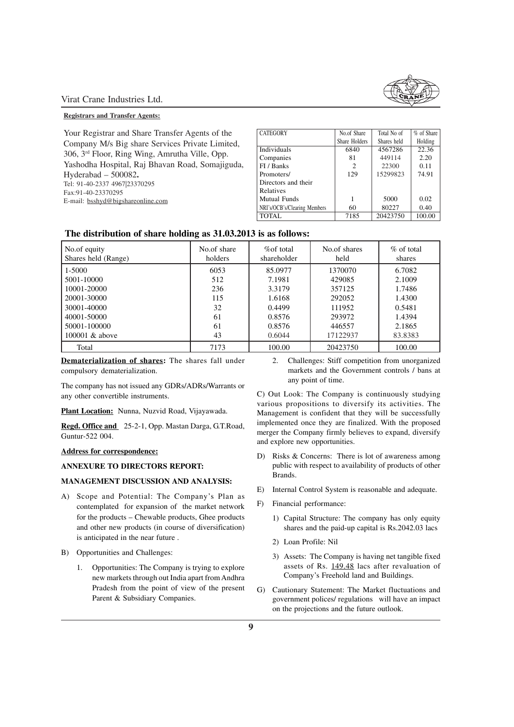#### **Registrars and Transfer Agents:**

Your Registrar and Share Transfer Agents of the Company M/s Big share Services Private Limited, 306, 3rd Floor, Ring Wing, Amrutha Ville, Opp. Yashodha Hospital, Raj Bhavan Road, Somajiguda, Hyderabad – 500082**.** Tel: 91-40-2337 4967|23370295 Fax:91-40-23370295 E-mail: bsshyd@bigshareonline.com

| <b>CATEGORY</b>              | No.of Share   | Total No of | % of Share |
|------------------------------|---------------|-------------|------------|
|                              | Share Holders | Shares held | Holding    |
| Individuals                  | 6840          | 4567286     | 22.36      |
| Companies                    | 81            | 449114      | 2.20       |
| FI / Banks                   | 2             | 22300       | 0.11       |
| Promoters/                   | 129           | 15299823    | 74.91      |
| Directors and their          |               |             |            |
| Relatives                    |               |             |            |
| Mutual Funds                 |               | 5000        | 0.02       |
| NRI's/OCB's/Clearing Members | 60            | 80227       | 0.40       |
| TOTAL.                       | 7185          | 20423750    | 100.00     |

## **The distribution of share holding as 31.03.2013 is as follows:**

| No.of equity<br>Shares held (Range) | No.of share<br>holders | % of total<br>shareholder | No.of shares<br>held | $\%$ of total<br>shares |
|-------------------------------------|------------------------|---------------------------|----------------------|-------------------------|
| 1-5000                              | 6053                   | 85.0977                   | 1370070              | 6.7082                  |
| 5001-10000                          | 512                    | 7.1981                    | 429085               | 2.1009                  |
| 10001-20000                         | 236                    | 3.3179                    | 357125               | 1.7486                  |
| 20001-30000                         | 115                    | 1.6168                    | 292052               | 1.4300                  |
| 30001-40000                         | 32                     | 0.4499                    | 111952               | 0.5481                  |
| 40001-50000                         | 61                     | 0.8576                    | 293972               | 1.4394                  |
| 50001-100000                        | 61                     | 0.8576                    | 446557               | 2.1865                  |
| 100001 $&$ above                    | 43                     | 0.6044                    | 17122937             | 83.8383                 |
| Total                               | 7173                   | 100.00                    | 20423750             | 100.00                  |

**Dematerialization of shares:** The shares fall under compulsory dematerialization.

The company has not issued any GDRs/ADRs/Warrants or any other convertible instruments.

**Plant Location:** Nunna, Nuzvid Road, Vijayawada.

**Regd. Office and** 25-2-1, Opp. Mastan Darga, G.T.Road, Guntur-522 004.

### **Address for correspondence:**

## **ANNEXURE TO DIRECTORS REPORT:**

## **MANAGEMENT DISCUSSION AND ANALYSIS:**

- A) Scope and Potential: The Company's Plan as contemplated for expansion of the market network for the products – Chewable products, Ghee products and other new products (in course of diversification) is anticipated in the near future .
- B) Opportunities and Challenges:
	- 1. Opportunities: The Company is trying to explore new markets through out India apart from Andhra Pradesh from the point of view of the present Parent & Subsidiary Companies.

2. Challenges: Stiff competition from unorganized markets and the Government controls / bans at any point of time.

C) Out Look: The Company is continuously studying various propositions to diversify its activities. The Management is confident that they will be successfully implemented once they are finalized. With the proposed merger the Company firmly believes to expand, diversify and explore new opportunities.

- D) Risks & Concerns: There is lot of awareness among public with respect to availability of products of other Brands.
- E) Internal Control System is reasonable and adequate.
- F) Financial performance:
	- 1) Capital Structure: The company has only equity shares and the paid-up capital is Rs.2042.03 lacs
	- 2) Loan Profile: Nil
	- 3) Assets: The Company is having net tangible fixed assets of Rs. 149.48 lacs after revaluation of Company's Freehold land and Buildings.
- G) Cautionary Statement: The Market fluctuations and government polices/ regulations will have an impact on the projections and the future outlook.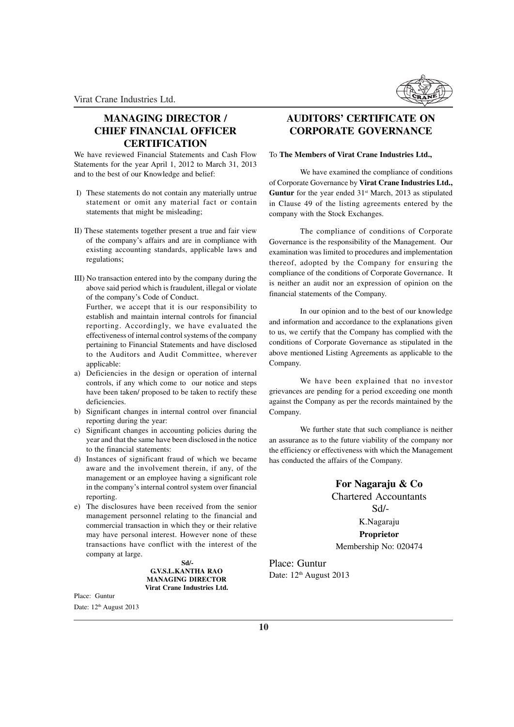

## **MANAGING DIRECTOR / CHIEF FINANCIAL OFFICER CERTIFICATION**

We have reviewed Financial Statements and Cash Flow Statements for the year April 1, 2012 to March 31, 2013 and to the best of our Knowledge and belief:

- I) These statements do not contain any materially untrue statement or omit any material fact or contain statements that might be misleading;
- II) These statements together present a true and fair view of the company's affairs and are in compliance with existing accounting standards, applicable laws and regulations;
- III) No transaction entered into by the company during the above said period which is fraudulent, illegal or violate of the company's Code of Conduct.

Further, we accept that it is our responsibility to establish and maintain internal controls for financial reporting. Accordingly, we have evaluated the effectiveness of internal control systems of the company pertaining to Financial Statements and have disclosed to the Auditors and Audit Committee, wherever applicable:

- a) Deficiencies in the design or operation of internal controls, if any which come to our notice and steps have been taken/ proposed to be taken to rectify these deficiencies.
- b) Significant changes in internal control over financial reporting during the year:
- c) Significant changes in accounting policies during the year and that the same have been disclosed in the notice to the financial statements:
- d) Instances of significant fraud of which we became aware and the involvement therein, if any, of the management or an employee having a significant role in the company's internal control system over financial reporting.
- e) The disclosures have been received from the senior management personnel relating to the financial and commercial transaction in which they or their relative may have personal interest. However none of these transactions have conflict with the interest of the company at large.

 **Sd/- G.V.S.L.KANTHA RAO MANAGING DIRECTOR Virat Crane Industries Ltd.**

Place: Guntur Date: 12<sup>th</sup> August 2013

## **AUDITORS' CERTIFICATE ON CORPORATE GOVERNANCE**

## To **The Members of Virat Crane Industries Ltd.,**

We have examined the compliance of conditions of Corporate Governance by **Virat Crane Industries Ltd.,** Guntur for the year ended 31<sup>st</sup> March, 2013 as stipulated in Clause 49 of the listing agreements entered by the company with the Stock Exchanges.

The compliance of conditions of Corporate Governance is the responsibility of the Management. Our examination was limited to procedures and implementation thereof, adopted by the Company for ensuring the compliance of the conditions of Corporate Governance. It is neither an audit nor an expression of opinion on the financial statements of the Company.

In our opinion and to the best of our knowledge and information and accordance to the explanations given to us, we certify that the Company has complied with the conditions of Corporate Governance as stipulated in the above mentioned Listing Agreements as applicable to the Company.

We have been explained that no investor grievances are pending for a period exceeding one month against the Company as per the records maintained by the Company.

We further state that such compliance is neither an assurance as to the future viability of the company nor the efficiency or effectiveness with which the Management has conducted the affairs of the Company.

> **For Nagaraju & Co** Chartered Accountants Sd/- K.Nagaraju **Proprietor** Membership No: 020474

Place: Guntur Date: 12<sup>th</sup> August 2013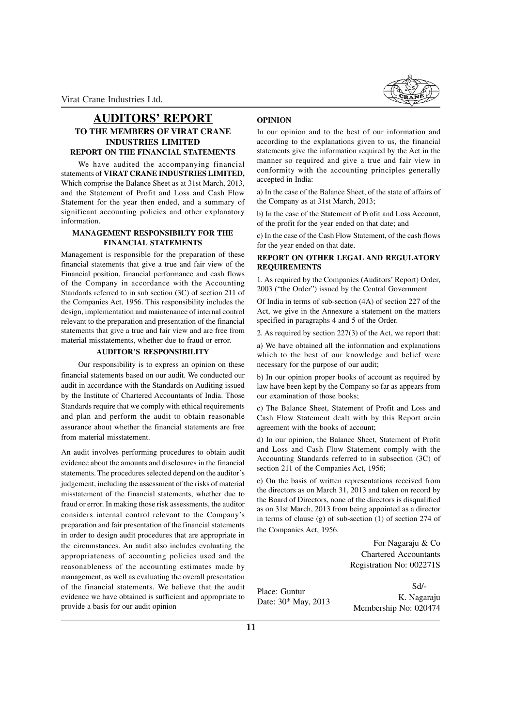## **AUDITORS' REPORT TO THE MEMBERS OF VIRAT CRANE INDUSTRIES LIMITED REPORT ON THE FINANCIAL STATEMENTS**

We have audited the accompanying financial statements of **VIRAT CRANE INDUSTRIES LIMITED,** Which comprise the Balance Sheet as at 31st March, 2013, and the Statement of Profit and Loss and Cash Flow Statement for the year then ended, and a summary of significant accounting policies and other explanatory information.

## **MANAGEMENT RESPONSIBILTY FOR THE FINANCIAL STATEMENTS**

Management is responsible for the preparation of these financial statements that give a true and fair view of the Financial position, financial performance and cash flows of the Company in accordance with the Accounting Standards referred to in sub section (3C) of section 211 of the Companies Act, 1956. This responsibility includes the design, implementation and maintenance of internal control relevant to the preparation and presentation of the financial statements that give a true and fair view and are free from material misstatements, whether due to fraud or error.

## **AUDITOR'S RESPONSIBILITY**

Our responsibility is to express an opinion on these financial statements based on our audit. We conducted our audit in accordance with the Standards on Auditing issued by the Institute of Chartered Accountants of India. Those Standards require that we comply with ethical requirements and plan and perform the audit to obtain reasonable assurance about whether the financial statements are free from material misstatement.

An audit involves performing procedures to obtain audit evidence about the amounts and disclosures in the financial statements. The procedures selected depend on the auditor's judgement, including the assessment of the risks of material misstatement of the financial statements, whether due to fraud or error. In making those risk assessments, the auditor considers internal control relevant to the Company's preparation and fair presentation of the financial statements in order to design audit procedures that are appropriate in the circumstances. An audit also includes evaluating the appropriateness of accounting policies used and the reasonableness of the accounting estimates made by management, as well as evaluating the overall presentation of the financial statements. We believe that the audit evidence we have obtained is sufficient and appropriate to provide a basis for our audit opinion

### **OPINION**

In our opinion and to the best of our information and according to the explanations given to us, the financial statements give the information required by the Act in the manner so required and give a true and fair view in conformity with the accounting principles generally accepted in India:

a) In the case of the Balance Sheet, of the state of affairs of the Company as at 31st March, 2013;

b) In the case of the Statement of Profit and Loss Account, of the profit for the year ended on that date; and

c) In the case of the Cash Flow Statement, of the cash flows for the year ended on that date.

## **REPORT ON OTHER LEGAL AND REGULATORY REQUIREMENTS**

1. As required by the Companies (Auditors' Report) Order, 2003 ("the Order") issued by the Central Government

Of India in terms of sub-section (4A) of section 227 of the Act, we give in the Annexure a statement on the matters specified in paragraphs 4 and 5 of the Order.

2. As required by section 227(3) of the Act, we report that:

a) We have obtained all the information and explanations which to the best of our knowledge and belief were necessary for the purpose of our audit;

b) In our opinion proper books of account as required by law have been kept by the Company so far as appears from our examination of those books;

c) The Balance Sheet, Statement of Profit and Loss and Cash Flow Statement dealt with by this Report arein agreement with the books of account;

d) In our opinion, the Balance Sheet, Statement of Profit and Loss and Cash Flow Statement comply with the Accounting Standards referred to in subsection (3C) of section 211 of the Companies Act, 1956;

e) On the basis of written representations received from the directors as on March 31, 2013 and taken on record by the Board of Directors, none of the directors is disqualified as on 31st March, 2013 from being appointed as a director in terms of clause (g) of sub-section (1) of section 274 of the Companies Act, 1956.

> For Nagaraju & Co Chartered Accountants Registration No: 002271S

Place: Guntur Date: 30<sup>th</sup> May, 2013

Sd/- K. Nagaraju Membership No: 020474

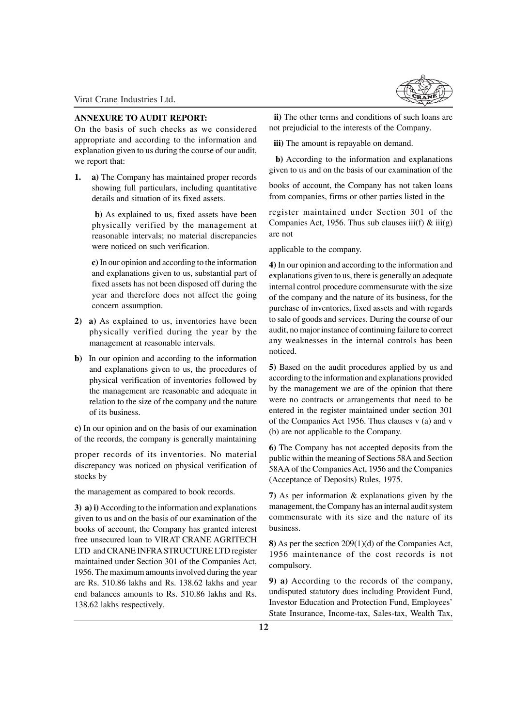## **ANNEXURE TO AUDIT REPORT:**

On the basis of such checks as we considered appropriate and according to the information and explanation given to us during the course of our audit, we report that:

**1. a)** The Company has maintained proper records showing full particulars, including quantitative details and situation of its fixed assets.

**b)** As explained to us, fixed assets have been physically verified by the management at reasonable intervals; no material discrepancies were noticed on such verification.

**c)** In our opinion and according to the information and explanations given to us, substantial part of fixed assets has not been disposed off during the year and therefore does not affect the going concern assumption.

- **2) a)** As explained to us, inventories have been physically verified during the year by the management at reasonable intervals.
- **b)** In our opinion and according to the information and explanations given to us, the procedures of physical verification of inventories followed by the management are reasonable and adequate in relation to the size of the company and the nature of its business.

**c)** In our opinion and on the basis of our examination of the records, the company is generally maintaining

proper records of its inventories. No material discrepancy was noticed on physical verification of stocks by

the management as compared to book records.

**3) a) i)** According to the information and explanations given to us and on the basis of our examination of the books of account, the Company has granted interest free unsecured loan to VIRAT CRANE AGRITECH LTD and CRANE INFRA STRUCTURE LTD register maintained under Section 301 of the Companies Act, 1956. The maximum amounts involved during the year are Rs. 510.86 lakhs and Rs. 138.62 lakhs and year end balances amounts to Rs. 510.86 lakhs and Rs. 138.62 lakhs respectively.



 **ii)** The other terms and conditions of such loans are not prejudicial to the interests of the Company.

**iii)** The amount is repayable on demand.

 **b)** According to the information and explanations given to us and on the basis of our examination of the

books of account, the Company has not taken loans from companies, firms or other parties listed in the

register maintained under Section 301 of the Companies Act, 1956. Thus sub clauses iii(f)  $\&$  iii(g) are not

applicable to the company.

**4)** In our opinion and according to the information and explanations given to us, there is generally an adequate internal control procedure commensurate with the size of the company and the nature of its business, for the purchase of inventories, fixed assets and with regards to sale of goods and services. During the course of our audit, no major instance of continuing failure to correct any weaknesses in the internal controls has been noticed.

**5)** Based on the audit procedures applied by us and according to the information and explanations provided by the management we are of the opinion that there were no contracts or arrangements that need to be entered in the register maintained under section 301 of the Companies Act 1956. Thus clauses v (a) and v (b) are not applicable to the Company.

**6)** The Company has not accepted deposits from the public within the meaning of Sections 58A and Section 58AA of the Companies Act, 1956 and the Companies (Acceptance of Deposits) Rules, 1975.

**7)** As per information & explanations given by the management, the Company has an internal audit system commensurate with its size and the nature of its business.

**8)** As per the section 209(1)(d) of the Companies Act, 1956 maintenance of the cost records is not compulsory.

**9) a)** According to the records of the company, undisputed statutory dues including Provident Fund, Investor Education and Protection Fund, Employees' State Insurance, Income-tax, Sales-tax, Wealth Tax,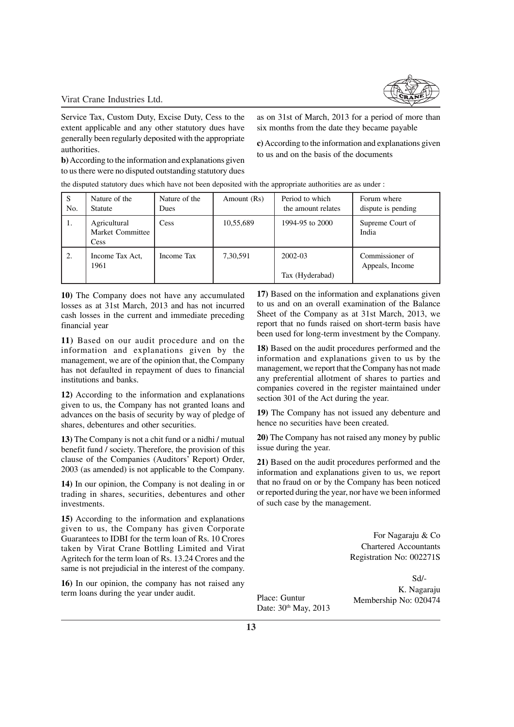

Service Tax, Custom Duty, Excise Duty, Cess to the extent applicable and any other statutory dues have generally been regularly deposited with the appropriate authorities.

**b)** According to the information and explanations given to us there were no disputed outstanding statutory dues

as on 31st of March, 2013 for a period of more than six months from the date they became payable

**c)** According to the information and explanations given to us and on the basis of the documents

the disputed statutory dues which have not been deposited with the appropriate authorities are as under :

| S<br>No. | Nature of the<br><b>Statute</b>                 | Nature of the<br>Dues | Amount (Rs) | Period to which<br>the amount relates | Forum where<br>dispute is pending  |
|----------|-------------------------------------------------|-----------------------|-------------|---------------------------------------|------------------------------------|
| 1.       | Agricultural<br>Market Committee<br><b>Cess</b> | Cess                  | 10,55,689   | 1994-95 to 2000                       | Supreme Court of<br>India          |
| 2.       | Income Tax Act,<br>1961                         | Income Tax            | 7,30,591    | 2002-03<br>Tax (Hyderabad)            | Commissioner of<br>Appeals, Income |

**10)** The Company does not have any accumulated losses as at 31st March, 2013 and has not incurred cash losses in the current and immediate preceding financial year

**11)** Based on our audit procedure and on the information and explanations given by the management, we are of the opinion that, the Company has not defaulted in repayment of dues to financial institutions and banks.

**12)** According to the information and explanations given to us, the Company has not granted loans and advances on the basis of security by way of pledge of shares, debentures and other securities.

**13)** The Company is not a chit fund or a nidhi / mutual benefit fund / society. Therefore, the provision of this clause of the Companies (Auditors' Report) Order, 2003 (as amended) is not applicable to the Company.

**14)** In our opinion, the Company is not dealing in or trading in shares, securities, debentures and other investments.

**15)** According to the information and explanations given to us, the Company has given Corporate Guarantees to IDBI for the term loan of Rs. 10 Crores taken by Virat Crane Bottling Limited and Virat Agritech for the term loan of Rs. 13.24 Crores and the same is not prejudicial in the interest of the company.

**16)** In our opinion, the company has not raised any term loans during the year under audit.

**17)** Based on the information and explanations given to us and on an overall examination of the Balance Sheet of the Company as at 31st March, 2013, we report that no funds raised on short-term basis have been used for long-term investment by the Company.

**18)** Based on the audit procedures performed and the information and explanations given to us by the management, we report that the Company has not made any preferential allotment of shares to parties and companies covered in the register maintained under section 301 of the Act during the year.

**19)** The Company has not issued any debenture and hence no securities have been created.

**20)** The Company has not raised any money by public issue during the year.

**21)** Based on the audit procedures performed and the information and explanations given to us, we report that no fraud on or by the Company has been noticed or reported during the year, nor have we been informed of such case by the management.

> For Nagaraju & Co Chartered Accountants Registration No: 002271S

Date: 30<sup>th</sup> May, 2013

Sd/- K. Nagaraju Place: Guntur Membership No: 020474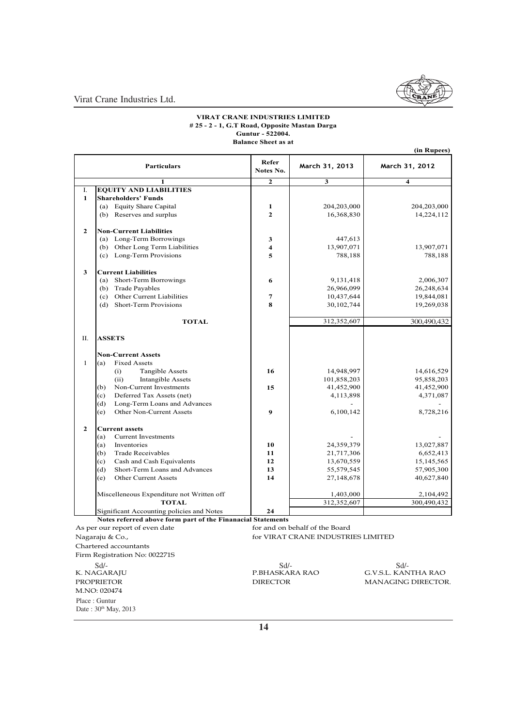

**(in Rupees)**

Virat Crane Industries Ltd.

#### **# 25 - 2 - 1, G.T Road, Opposite Mastan Darga Guntur - 522004. VIRAT CRANE INDUSTRIES LIMITED Balance Sheet as at**

|                | <b>Particulars</b>                                               | Refer<br>Notes No.      | March 31, 2013 | ш тепресо<br>March 31, 2012 |  |  |
|----------------|------------------------------------------------------------------|-------------------------|----------------|-----------------------------|--|--|
|                |                                                                  | $\overline{2}$          | 3              | $\overline{\mathbf{4}}$     |  |  |
| I.             | <b>EQUITY AND LIABILITIES</b>                                    |                         |                |                             |  |  |
| 1              | <b>Shareholders' Funds</b>                                       |                         |                |                             |  |  |
|                | (a) Equity Share Capital                                         | 1                       | 204,203,000    | 204,203,000                 |  |  |
|                | (b) Reserves and surplus                                         | $\mathbf{2}$            | 16,368,830     | 14,224,112                  |  |  |
| $\mathbf{2}$   | <b>Non-Current Liabilities</b>                                   |                         |                |                             |  |  |
|                | (a) Long-Term Borrowings                                         | 3                       | 447,613        |                             |  |  |
|                | (b) Other Long Term Liabilities                                  | $\overline{\mathbf{4}}$ | 13,907,071     | 13,907,071                  |  |  |
|                | (c) Long-Term Provisions                                         | 5                       | 788,188        | 788,188                     |  |  |
| 3              | <b>Current Liabilities</b>                                       |                         |                |                             |  |  |
|                | Short-Term Borrowings<br>(a)                                     | 6                       | 9,131,418      | 2,006,307                   |  |  |
|                | (b)<br><b>Trade Payables</b>                                     |                         | 26,966,099     | 26,248,634                  |  |  |
|                | Other Current Liabilities<br>(c)                                 | 7                       | 10,437,644     | 19,844,081                  |  |  |
|                | (d)<br><b>Short-Term Provisions</b>                              | 8                       | 30,102,744     | 19,269,038                  |  |  |
|                | <b>TOTAL</b>                                                     |                         | 312,352,607    | 300,490,432                 |  |  |
| П.             | <b>ASSETS</b>                                                    |                         |                |                             |  |  |
|                | <b>Non-Current Assets</b>                                        |                         |                |                             |  |  |
| $\mathbf{1}$   | <b>Fixed Assets</b><br>(a)                                       |                         |                |                             |  |  |
|                | (i)<br>Tangible Assets                                           | 16                      | 14,948,997     | 14,616,529                  |  |  |
|                | (ii)<br><b>Intangible Assets</b>                                 |                         | 101,858,203    | 95,858,203                  |  |  |
|                | Non-Current Investments<br>(b)                                   | 15                      | 41,452,900     | 41,452,900                  |  |  |
|                | Deferred Tax Assets (net)<br>(c)                                 |                         | 4,113,898      | 4,371,087                   |  |  |
|                | Long-Term Loans and Advances<br>(d)                              |                         |                |                             |  |  |
|                | Other Non-Current Assets<br>(e)                                  | 9                       | 6,100,142      | 8,728,216                   |  |  |
| $\overline{2}$ | <b>Current assets</b>                                            |                         |                |                             |  |  |
|                | <b>Current Investments</b><br>(a)                                |                         |                |                             |  |  |
|                | Inventories<br>(a)                                               | 10                      | 24,359,379     | 13,027,887                  |  |  |
|                | (b)<br><b>Trade Receivables</b>                                  | 11                      | 21,717,306     | 6,652,413                   |  |  |
|                | Cash and Cash Equivalents<br>(c)                                 | 12                      | 13,670,559     | 15, 145, 565                |  |  |
|                | Short-Term Loans and Advances<br>(d)                             | 13                      | 55,579,545     | 57,905,300                  |  |  |
|                | <b>Other Current Assets</b><br>(e)                               | 14                      | 27,148,678     | 40,627,840                  |  |  |
|                | Miscelleneous Expenditure not Written off                        |                         | 1,403,000      | 2,104,492                   |  |  |
|                | <b>TOTAL</b>                                                     |                         | 312,352,607    | 300,490,432                 |  |  |
|                | Significant Accounting policies and Notes                        | 24                      |                |                             |  |  |
|                | Notes referred above form part of the Finanacial Statements      |                         |                |                             |  |  |
|                | As per our report of even date<br>for and on behalf of the Board |                         |                |                             |  |  |

Nagaraju & Co., for VIRAT CRANE INDUSTRIES LIMITED Chartered accountants Firm Registration No: 002271S Place : Guntur Sd/-<br>K. NAGARAJU PROPRIETOR M.NO: 020474

Date :  $30<sup>th</sup>$  May, 2013

Sd/-<br>P.BHASKARA RAO

Sd/-<br>P.BHASKARA RAO G.V.S.L. KANTHA RAO DIRECTOR MANAGING DIRECTOR MANAGING DIRECTOR.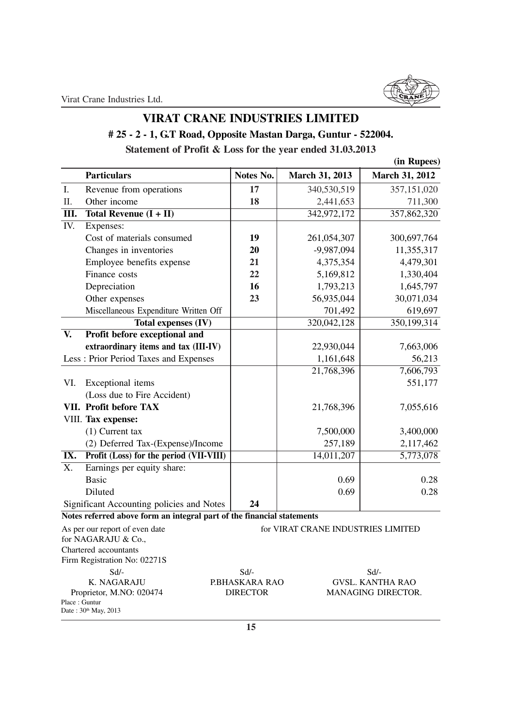## **VIRAT CRANE INDUSTRIES LIMITED**

## **# 25 - 2 - 1, G.T Road, Opposite Mastan Darga, Guntur - 522004. Statement of Profit & Loss for the year ended 31.03.2013**

|                  |                                                                        |                |                                    | (in Rupees)             |
|------------------|------------------------------------------------------------------------|----------------|------------------------------------|-------------------------|
|                  | <b>Particulars</b>                                                     | Notes No.      | March 31, 2013                     | <b>March 31, 2012</b>   |
| ${\bf I}.$       | Revenue from operations                                                | 17             | 340,530,519                        | 357,151,020             |
| II.              | Other income                                                           | 18             | 2,441,653                          | 711,300                 |
| III.             | Total Revenue $(I + II)$                                               |                | 342,972,172                        | 357,862,320             |
| IV.              | Expenses:                                                              |                |                                    |                         |
|                  | Cost of materials consumed                                             | 19             | 261,054,307                        | 300,697,764             |
|                  | Changes in inventories                                                 | 20             | $-9,987,094$                       | 11,355,317              |
|                  | Employee benefits expense                                              | 21             | 4,375,354                          | 4,479,301               |
|                  | Finance costs                                                          | 22             | 5,169,812                          | 1,330,404               |
|                  | Depreciation                                                           | 16             | 1,793,213                          | 1,645,797               |
|                  | Other expenses                                                         | 23             | 56,935,044                         | 30,071,034              |
|                  | Miscellaneous Expenditure Written Off                                  |                | 701,492                            | 619,697                 |
|                  | <b>Total expenses (IV)</b>                                             |                | 320,042,128                        | 350,199,314             |
| V.               | Profit before exceptional and                                          |                |                                    |                         |
|                  | extraordinary items and tax (III-IV)                                   |                | 22,930,044                         | 7,663,006               |
|                  | Less : Prior Period Taxes and Expenses                                 |                | 1,161,648                          | 56,213                  |
|                  |                                                                        |                | 21,768,396                         | 7,606,793               |
| VI.              | Exceptional items                                                      |                |                                    | 551,177                 |
|                  | (Loss due to Fire Accident)                                            |                |                                    |                         |
|                  | VII. Profit before TAX                                                 |                | 21,768,396                         | 7,055,616               |
|                  | VIII. Tax expense:                                                     |                |                                    |                         |
|                  | $(1)$ Current tax                                                      |                | 7,500,000                          | 3,400,000               |
|                  | (2) Deferred Tax-(Expense)/Income                                      |                | 257,189                            | 2,117,462               |
| IX.              | Profit (Loss) for the period (VII-VIII)                                |                | 14,011,207                         | 5,773,078               |
| $\overline{X}$ . | Earnings per equity share:                                             |                |                                    |                         |
|                  | <b>Basic</b>                                                           |                | 0.69                               | 0.28                    |
|                  | Diluted                                                                |                | 0.69                               | 0.28                    |
|                  | Significant Accounting policies and Notes                              | 24             |                                    |                         |
|                  | Notes referred above form an integral part of the financial statements |                |                                    |                         |
|                  | As per our report of even date                                         |                | for VIRAT CRANE INDUSTRIES LIMITED |                         |
|                  | for NAGARAJU & Co.,                                                    |                |                                    |                         |
|                  | Chartered accountants                                                  |                |                                    |                         |
|                  | Firm Registration No: 02271S<br>$Sd$ -                                 | $Sd$ -         |                                    | $Sd$ -                  |
|                  | K. NAGARAJU                                                            | P.BHASKARA RAO |                                    | <b>GVSL. KANTHA RAO</b> |

Proprietor, M.NO: 020474 DIRECTOR MANAGING DIRECTOR. Place : Guntur Date: 30<sup>th</sup> May, 2013

**15**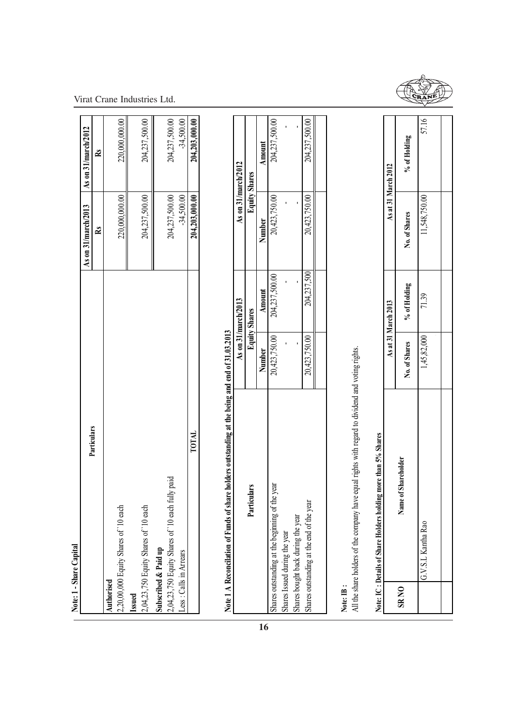|--|

Virat Crane Industries Ltd.

|             | Note: 1 - Share Capital                                                                           |               |                      |                      |                      |
|-------------|---------------------------------------------------------------------------------------------------|---------------|----------------------|----------------------|----------------------|
|             | Particulars                                                                                       |               |                      | As on 31/march/2013  | As on 31/march/2012  |
|             |                                                                                                   |               |                      | $\mathbf{\tilde{R}}$ | $\mathbf{\tilde{R}}$ |
| Authorised  |                                                                                                   |               |                      |                      |                      |
|             | 2,20,00,000 Equity Shares of '10 each                                                             |               |                      | 220,000,000.00       | 220,000,000.00       |
| Issued      |                                                                                                   |               |                      |                      |                      |
|             | 2,04,23,750 Equity Shares of '10 each                                                             |               |                      | 204,237,500.00       | 204,237,500.00       |
|             | Subscribed & Paid up                                                                              |               |                      |                      |                      |
|             | 2,04,23,750 Equity Shares of '10 each fully paid                                                  |               |                      | 204,237,500.00       | 204,237,500.00       |
|             | Less: Calls in Arrears                                                                            |               |                      | $-34,500.00$         | $-34,500.00$         |
|             | TOTAL                                                                                             |               |                      | 204,203,000.00       | 204,203,000.00       |
|             | Note 1 A Reconcilation of Funds of share holders outstanding at the being and end of 31.03.2013   |               |                      |                      |                      |
|             |                                                                                                   |               | As on 31/march/2013  |                      | As on 31/march/2012  |
|             | Particulars                                                                                       |               | <b>Equity Shares</b> |                      | <b>Equity Shares</b> |
| 16          |                                                                                                   | Number        | <b>Amount</b>        | Number               | Amount               |
|             | the year<br>Shares outstanding at the beginning of t                                              | 20,423,750.00 | 204,237,500.00       | 20,423,750.00        | 204,237,500.00       |
|             | Shares Issued during the year                                                                     |               |                      |                      |                      |
|             | Shares bought back during the year                                                                |               |                      |                      |                      |
|             | Shares outstanding at the end of the year                                                         | 20,423,750.00 | 204,237,500          | 20,423,750.00        | 204,237,500.00       |
|             |                                                                                                   |               |                      |                      |                      |
| Note: IB:   |                                                                                                   |               |                      |                      |                      |
|             | All the share holders of the company have equal rights with regard to dividend and voting rights. |               |                      |                      |                      |
|             | Note: IC: Details of Share Holders holding more than 5% Shares                                    |               |                      |                      |                      |
|             |                                                                                                   |               | As at 31 March 2013  |                      | As at 31 March 2012  |
| <b>SRNO</b> | Name of Shareholder                                                                               | No. of Shares | % of Holding         | No. of Shares        | % of Holding         |
|             | G.V.S.L Kantha Rao                                                                                | 1,45,82,000   | 71.39                | 11,548,750.00        | 57.16                |
|             |                                                                                                   |               |                      |                      |                      |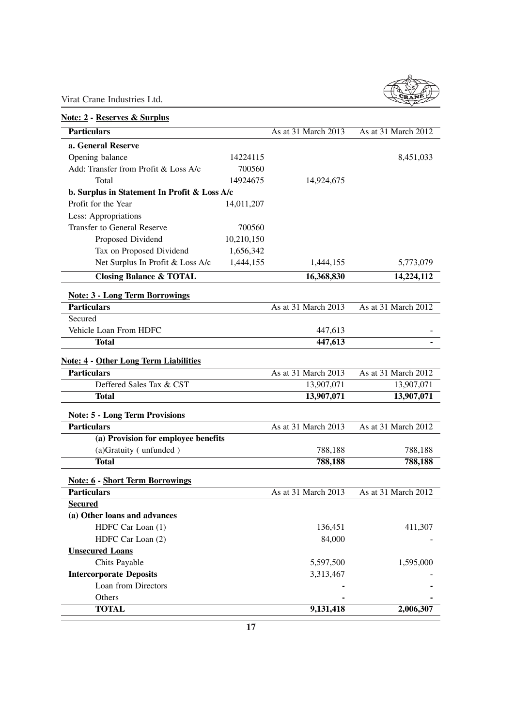

| <b>Note: 2 - Reserves &amp; Surplus</b>      |            |                     |                     |
|----------------------------------------------|------------|---------------------|---------------------|
| <b>Particulars</b>                           |            | As at 31 March 2013 | As at 31 March 2012 |
| a. General Reserve                           |            |                     |                     |
| Opening balance                              | 14224115   |                     | 8,451,033           |
| Add: Transfer from Profit & Loss A/c         | 700560     |                     |                     |
| Total                                        | 14924675   | 14,924,675          |                     |
| b. Surplus in Statement In Profit & Loss A/c |            |                     |                     |
| Profit for the Year                          | 14,011,207 |                     |                     |
| Less: Appropriations                         |            |                     |                     |
| <b>Transfer to General Reserve</b>           | 700560     |                     |                     |
| Proposed Dividend                            | 10,210,150 |                     |                     |
| Tax on Proposed Dividend                     | 1,656,342  |                     |                     |
| Net Surplus In Profit & Loss A/c             | 1,444,155  | 1,444,155           | 5,773,079           |
| <b>Closing Balance &amp; TOTAL</b>           |            | 16,368,830          | 14,224,112          |
| <b>Note: 3 - Long Term Borrowings</b>        |            |                     |                     |
| <b>Particulars</b>                           |            | As at 31 March 2013 | As at 31 March 2012 |
| Secured                                      |            |                     |                     |
| Vehicle Loan From HDFC                       |            | 447,613             |                     |
| <b>Total</b>                                 |            | 447,613             |                     |
| <b>Note: 4 - Other Long Term Liabilities</b> |            |                     |                     |
| <b>Particulars</b>                           |            | As at 31 March 2013 | As at 31 March 2012 |
| Deffered Sales Tax & CST                     |            | 13,907,071          | 13,907,071          |
| <b>Total</b>                                 |            | 13,907,071          | 13,907,071          |
| <b>Note: 5 - Long Term Provisions</b>        |            |                     |                     |
| <b>Particulars</b>                           |            | As at 31 March 2013 | As at 31 March 2012 |
| (a) Provision for employee benefits          |            |                     |                     |
| (a)Gratuity (unfunded)                       |            | 788,188             | 788,188             |
| <b>Total</b>                                 |            | 788,188             | 788,188             |
| <b>Note: 6 - Short Term Borrowings</b>       |            |                     |                     |
| <b>Particulars</b>                           |            | As at 31 March 2013 | As at 31 March 2012 |
| <b>Secured</b>                               |            |                     |                     |
| (a) Other loans and advances                 |            |                     |                     |
| HDFC Car Loan (1)                            |            | 136,451             | 411,307             |
| HDFC Car Loan (2)                            |            | 84,000              |                     |
| <b>Unsecured Loans</b>                       |            |                     |                     |
| Chits Payable                                |            | 5,597,500           | 1,595,000           |
| <b>Intercorporate Deposits</b>               |            | 3,313,467           |                     |
| Loan from Directors                          |            |                     |                     |
| Others                                       |            |                     |                     |
| <b>TOTAL</b>                                 |            | 9,131,418           | 2,006,307           |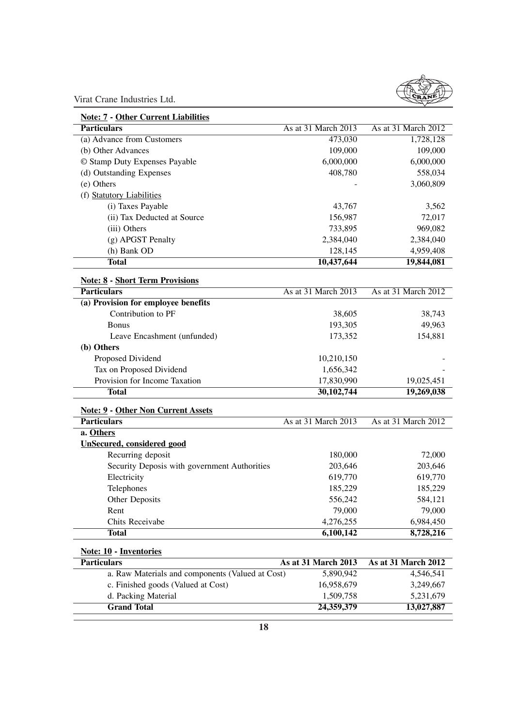

| <b>Note: 7 - Other Current Liabilities</b>          |                     |                         |
|-----------------------------------------------------|---------------------|-------------------------|
| <b>Particulars</b>                                  | As at 31 March 2013 | As at 31 March 2012     |
| (a) Advance from Customers                          | 473,030             | 1,728,128               |
| (b) Other Advances                                  | 109,000             | 109,000                 |
| © Stamp Duty Expenses Payable                       | 6,000,000           | 6,000,000               |
| (d) Outstanding Expenses                            | 408,780             | 558,034                 |
| (e) Others                                          |                     | 3,060,809               |
| (f) Statutory Liabilities                           |                     |                         |
| (i) Taxes Payable                                   | 43,767              | 3,562                   |
| (ii) Tax Deducted at Source                         | 156,987             | 72,017                  |
| (iii) Others                                        | 733,895             | 969,082                 |
| (g) APGST Penalty                                   | 2,384,040           | 2,384,040               |
| (h) Bank OD                                         | 128,145             | 4,959,408               |
| <b>Total</b>                                        | 10,437,644          | 19,844,081              |
| <b>Note: 8 - Short Term Provisions</b>              |                     |                         |
| <b>Particulars</b>                                  | As at 31 March 2013 | As at 31 March 2012     |
| (a) Provision for employee benefits                 |                     |                         |
| Contribution to PF                                  | 38,605              | 38,743                  |
| <b>Bonus</b>                                        | 193,305             | 49,963                  |
| Leave Encashment (unfunded)                         | 173,352             | 154,881                 |
| (b) Others                                          |                     |                         |
| Proposed Dividend                                   | 10,210,150          |                         |
| Tax on Proposed Dividend                            | 1,656,342           |                         |
| Provision for Income Taxation                       | 17,830,990          | 19,025,451              |
| <b>Total</b>                                        | 30,102,744          | 19,269,038              |
| <b>Note: 9 - Other Non Current Assets</b>           |                     |                         |
| <b>Particulars</b>                                  | As at 31 March 2013 | As at 31 March 2012     |
| a. Others                                           |                     |                         |
| <b>UnSecured, considered good</b>                   |                     |                         |
| Recurring deposit                                   | 180,000             | 72,000                  |
| Security Deposis with government Authorities        | 203,646             | 203,646                 |
| Electricity                                         | 619,770             | 619,770                 |
| Telephones                                          | 185,229             | 185,229                 |
| Other Deposits                                      | 556,242             | 584,121                 |
| Rent                                                | 79,000              | 79,000                  |
| Chits Receivabe                                     | 4,276,255           | 6,984,450               |
| <b>Total</b>                                        | 6,100,142           | 8,728,216               |
|                                                     |                     |                         |
| <b>Note: 10 - Inventories</b><br><b>Particulars</b> | As at 31 March 2013 | As at 31 March 2012     |
| a. Raw Materials and components (Valued at Cost)    | 5,890,942           | 4,546,541               |
| c. Finished goods (Valued at Cost)                  | 16,958,679          | 3,249,667               |
| d. Packing Material                                 | 1,509,758           |                         |
| <b>Grand Total</b>                                  | 24,359,379          | 5,231,679<br>13,027,887 |
|                                                     |                     |                         |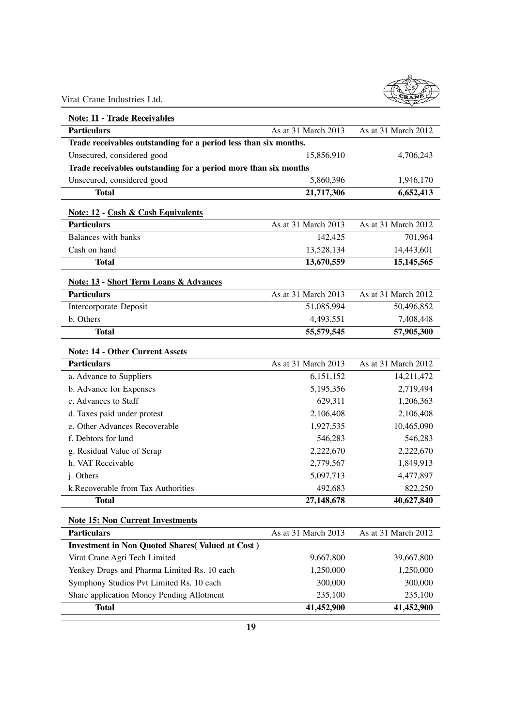

| <b>Note: 11 - Trade Receivables</b>                              |                     |                     |  |  |  |
|------------------------------------------------------------------|---------------------|---------------------|--|--|--|
| <b>Particulars</b><br>As at 31 March 2013<br>As at 31 March 2012 |                     |                     |  |  |  |
| Trade receivables outstanding for a period less than six months. |                     |                     |  |  |  |
| Unsecured, considered good                                       | 15,856,910          | 4,706,243           |  |  |  |
| Trade receivables outstanding for a period more than six months  |                     |                     |  |  |  |
| Unsecured, considered good                                       | 5,860,396           | 1,946,170           |  |  |  |
| <b>Total</b>                                                     | 21,717,306          | 6,652,413           |  |  |  |
| <b>Note: 12 - Cash &amp; Cash Equivalents</b>                    |                     |                     |  |  |  |
| <b>Particulars</b>                                               | As at 31 March 2013 | As at 31 March 2012 |  |  |  |
| Balances with banks                                              | 142,425             | 701,964             |  |  |  |
| Cash on hand                                                     | 13,528,134          | 14,443,601          |  |  |  |
| <b>Total</b>                                                     | 13,670,559          | 15, 145, 565        |  |  |  |
| <b>Note: 13 - Short Term Loans &amp; Advances</b>                |                     |                     |  |  |  |
| <b>Particulars</b>                                               | As at 31 March 2013 | As at 31 March 2012 |  |  |  |
| Intercorporate Deposit                                           | 51,085,994          | 50,496,852          |  |  |  |
| b. Others                                                        | 4,493,551           | 7,408,448           |  |  |  |
| <b>Total</b>                                                     | 55,579,545          | 57,905,300          |  |  |  |
| <b>Note: 14 - Other Current Assets</b>                           |                     |                     |  |  |  |
| <b>Particulars</b>                                               | As at 31 March 2013 | As at 31 March 2012 |  |  |  |
| a. Advance to Suppliers                                          | 6,151,152           | 14,211,472          |  |  |  |
| b. Advance for Expenses                                          | 5,195,356           | 2,719,494           |  |  |  |
| c. Advances to Staff                                             | 629,311             | 1,206,363           |  |  |  |
| d. Taxes paid under protest                                      | 2,106,408           | 2,106,408           |  |  |  |
| e. Other Advances Recoverable                                    | 1,927,535           | 10,465,090          |  |  |  |
| f. Debtors for land                                              | 546,283             | 546,283             |  |  |  |
| g. Residual Value of Scrap                                       | 2,222,670           | 2,222,670           |  |  |  |
| h. VAT Receivable                                                | 2,779,567           | 1,849,913           |  |  |  |
| j. Others                                                        | 5,097,713           | 4,477,897           |  |  |  |
| k.Recoverable from Tax Authorities                               | 492,683             | 822,250             |  |  |  |
| <b>Total</b>                                                     | 27,148,678          | 40,627,840          |  |  |  |
| <b>Note 15: Non Current Investments</b>                          |                     |                     |  |  |  |
| <b>Particulars</b>                                               | As at 31 March 2013 | As at 31 March 2012 |  |  |  |
| <b>Investment in Non Quoted Shares (Valued at Cost)</b>          |                     |                     |  |  |  |
| Virat Crane Agri Tech Limited                                    | 9,667,800           | 39,667,800          |  |  |  |
| Yenkey Drugs and Pharma Limited Rs. 10 each                      | 1,250,000           | 1,250,000           |  |  |  |
| Symphony Studios Pvt Limited Rs. 10 each                         | 300,000             | 300,000             |  |  |  |
| Share application Money Pending Allotment                        | 235,100             | 235,100             |  |  |  |
| <b>Total</b>                                                     | 41,452,900          | 41,452,900          |  |  |  |
|                                                                  |                     |                     |  |  |  |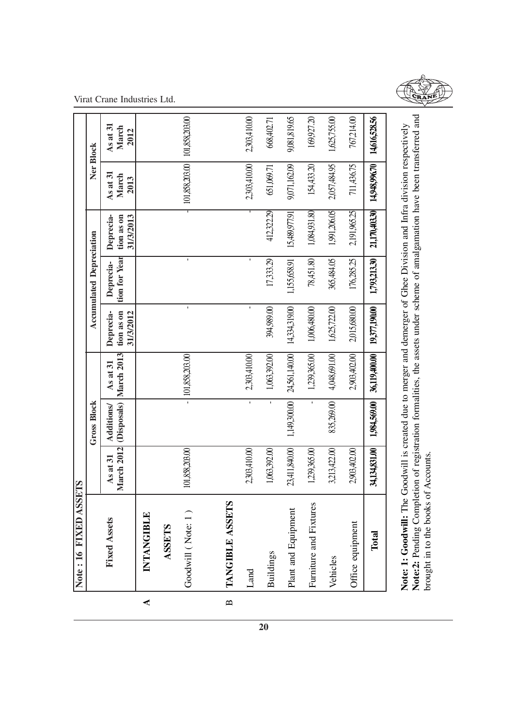|              | Note: 16 FIXED ASSETS  |                                 |                    |                                      |                                      |                                 |                                      |                               |                           |
|--------------|------------------------|---------------------------------|--------------------|--------------------------------------|--------------------------------------|---------------------------------|--------------------------------------|-------------------------------|---------------------------|
|              |                        |                                 | <b>Gross Block</b> |                                      |                                      | <b>Accumulated Depreciation</b> |                                      | Ner Block                     |                           |
|              | <b>Fixed Assets</b>    | <b>March 2012</b><br>$As$ at 31 | Additions/         | (Disposals) March 2013<br>$As$ at 31 | Deprecia-<br>tion as on<br>31/3/2012 | tion for Year<br>Deprecia-      | Deprecia-<br>31/3/2013<br>tion as on | $As$ at 31<br>March<br>2013   | As at 31<br>March<br>2012 |
| ⋖            | INTANGIBLE             |                                 |                    |                                      |                                      |                                 |                                      |                               |                           |
|              | <b>ASSETS</b>          |                                 |                    |                                      |                                      |                                 |                                      |                               |                           |
|              | Goodwill (Note: 1)     | 101,858,203.00                  |                    | $-$ 101,858,203.00                   | $\blacksquare$                       | $\blacksquare$                  |                                      | 101,858,203.00 101,858,203.00 |                           |
|              |                        |                                 |                    |                                      |                                      |                                 |                                      |                               |                           |
| $\mathbf{p}$ | TANGIBLE ASSETS        |                                 |                    |                                      |                                      |                                 |                                      |                               |                           |
|              | Land                   | 2,303,410.00                    | $\mathbf{r}$       | 2,303,410.00                         | ı                                    | $\blacksquare$                  |                                      | 2,303,410.00                  | 2,303,410.00              |
|              | <b>Buildings</b>       | 1,063,392.00                    | $\mathbf{r}$       | 1,063,392.00                         | 394,989.00                           | 17,333.29                       | 412,322.29                           | 651,069.71                    | 668,402.71                |
|              | Plant and Equipment    | 23,411,840.00                   | 1,149,300.00       | 24,561,140.00                        | 14,334,319.00                        | 1,155,658.91                    | 15,489,977.91                        | 9,071,162.09                  | 9,081,819.65              |
|              | Furniture and Fixtures | 1,239,365.00                    | $\mathbf{r}$       | 1,239,365.00                         | 1,006,480.00                         | 78,451.80                       | 1,084,931.80                         | 154,433.20                    | 169,927.20                |
|              | Vehicles               | 3,213,422.00                    | 835,269.00         | 4,048,691.00                         | 1,625,722.00                         | 365,484.05                      | 1,991,206.05                         | 2,057,484.95                  | 1,625,755.00              |
|              | Office equipment       | 2,903,402.00                    |                    | 2,903,402.00                         | 2,015,680.00                         | 176,285.25                      | 2,191,965.25                         | 711,436.75                    | 767,214.00                |
|              | Total                  | 34,134,831.00                   | 1,984,569.00       | 36,119,400.00                        | 19,377,190.00                        | 1,793,213.30                    | 21,170,403.30                        | 14,948,996.70                 | 14,616,528.56             |
|              |                        |                                 |                    |                                      |                                      |                                 |                                      |                               |                           |



Note: 1: Goodwill: The Goodwill is created due to merger and demerger of Ghee Division and Infra division respectively<br>Note:2: Pending Completion of registration formalities, the assets under scheme of amalgamation have be **Note:2:** Pending Completion of registration formalities, the assets under scheme of amalgamation have been transferred and **Note: 1: Goodwill:** The Goodwill is created due to merger and demerger of Ghee Division and Infra division respectively brought in to the books of Accounts.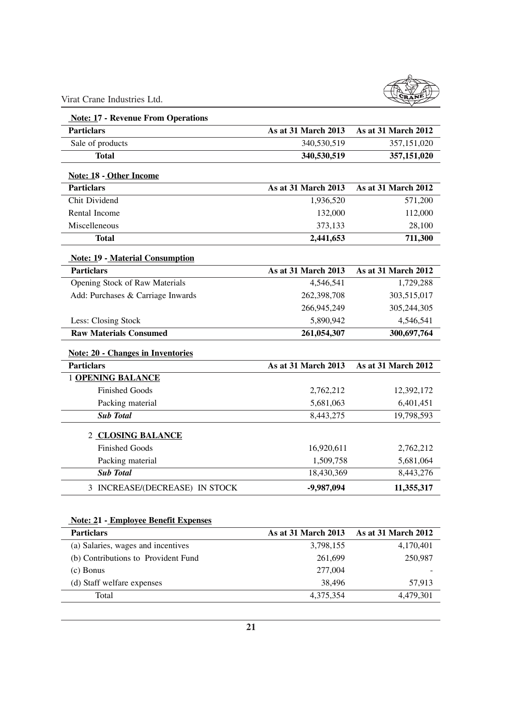

| <b>Note: 17 - Revenue From Operations</b> |                            |                     |
|-------------------------------------------|----------------------------|---------------------|
| <b>Particlars</b>                         | As at 31 March 2013        | As at 31 March 2012 |
| Sale of products                          | 340,530,519                | 357,151,020         |
| <b>Total</b>                              | 340,530,519                | 357,151,020         |
| Note: 18 - Other Income                   |                            |                     |
| <b>Particlars</b>                         | As at 31 March 2013        | As at 31 March 2012 |
| Chit Dividend                             | 1,936,520                  | 571,200             |
| Rental Income                             | 132,000                    | 112,000             |
| Miscelleneous                             | 373,133                    | 28,100              |
| <b>Total</b>                              | 2,441,653                  | 711,300             |
| <b>Note: 19 - Material Consumption</b>    |                            |                     |
| <b>Particlars</b>                         | As at 31 March 2013        | As at 31 March 2012 |
| Opening Stock of Raw Materials            | 4,546,541                  | 1,729,288           |
| Add: Purchases & Carriage Inwards         | 262,398,708                | 303,515,017         |
|                                           | 266,945,249                | 305,244,305         |
| Less: Closing Stock                       | 5,890,942                  | 4,546,541           |
| <b>Raw Materials Consumed</b>             | 261,054,307                | 300,697,764         |
| <b>Note: 20 - Changes in Inventories</b>  |                            |                     |
| <b>Particlars</b>                         | <b>As at 31 March 2013</b> | As at 31 March 2012 |
| <b>1 OPENING BALANCE</b>                  |                            |                     |
| <b>Finished Goods</b>                     | 2,762,212                  | 12,392,172          |
| Packing material                          | 5,681,063                  | 6,401,451           |
| <b>Sub Total</b>                          | 8,443,275                  | 19,798,593          |
| 2 CLOSING BALANCE                         |                            |                     |
| <b>Finished Goods</b>                     | 16,920,611                 | 2,762,212           |
| Packing material                          | 1,509,758                  | 5,681,064           |
| <b>Sub Total</b>                          | 18,430,369                 | 8,443,276           |
| 3 INCREASE/(DECREASE) IN STOCK            | -9,987,094                 | 11,355,317          |

## **Note: 21 - Employee Benefit Expenses**

| <b>Particlars</b>                   | <b>As at 31 March 2013</b> | <b>As at 31 March 2012</b> |
|-------------------------------------|----------------------------|----------------------------|
| (a) Salaries, wages and incentives  | 3,798,155                  | 4,170,401                  |
| (b) Contributions to Provident Fund | 261,699                    | 250,987                    |
| $(c)$ Bonus                         | 277,004                    | -                          |
| (d) Staff welfare expenses          | 38,496                     | 57.913                     |
| Total                               | 4,375,354                  | 4,479,301                  |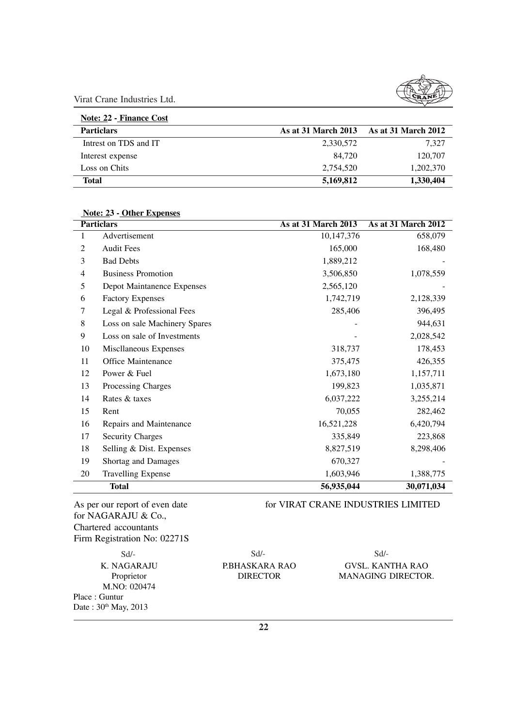| Note: 22 - Finance Cost |                     |                            |
|-------------------------|---------------------|----------------------------|
| <b>Particlars</b>       | As at 31 March 2013 | <b>As at 31 March 2012</b> |
| Intrest on TDS and IT   | 2,330,572           | 7.327                      |
| Interest expense        | 84.720              | 120,707                    |
| Loss on Chits           | 2.754.520           | 1,202,370                  |
| Total                   | 5,169,812           | 1,330,404                  |

|    | <b>Particlars</b>             | <b>As at 31 March 2013</b> | As at 31 March 2012 |
|----|-------------------------------|----------------------------|---------------------|
| 1  | Advertisement                 | 10,147,376                 | 658,079             |
| 2  | <b>Audit Fees</b>             | 165,000                    | 168,480             |
| 3  | <b>Bad Debts</b>              | 1,889,212                  |                     |
| 4  | <b>Business Promotion</b>     | 3,506,850                  | 1,078,559           |
| 5  | Depot Maintanence Expenses    | 2,565,120                  |                     |
| 6  | <b>Factory Expenses</b>       | 1,742,719                  | 2,128,339           |
| 7  | Legal & Professional Fees     | 285,406                    | 396,495             |
| 8  | Loss on sale Machinery Spares |                            | 944,631             |
| 9  | Loss on sale of Investments   |                            | 2,028,542           |
| 10 | Miscllaneous Expenses         | 318,737                    | 178,453             |
| 11 | <b>Office Maintenance</b>     | 375,475                    | 426,355             |
| 12 | Power & Fuel                  | 1,673,180                  | 1,157,711           |
| 13 | Processing Charges            | 199,823                    | 1,035,871           |
| 14 | Rates & taxes                 | 6,037,222                  | 3,255,214           |
| 15 | Rent                          | 70,055                     | 282,462             |
| 16 | Repairs and Maintenance       | 16,521,228                 | 6,420,794           |
| 17 | <b>Security Charges</b>       | 335,849                    | 223,868             |
| 18 | Selling & Dist. Expenses      | 8,827,519                  | 8,298,406           |
| 19 | Shortag and Damages           | 670,327                    |                     |
| 20 | <b>Travelling Expense</b>     | 1,603,946                  | 1,388,775           |
|    | <b>Total</b>                  | 56,935,044                 | 30,071,034          |

 **Note: 23 - Other Expenses**

As per our report of even date for VIRAT CRANE INDUSTRIES LIMITED for NAGARAJU & Co., Chartered accountants Firm Registration No: 02271S

M.NO: 020474 Place : Guntur Date: 30th May, 2013

Sd/- Sd/- Sd/-

K. NAGARAJU P.BHASKARA RAO GVSL. KANTHA RAO Proprietor **DIRECTOR MANAGING DIRECTOR.**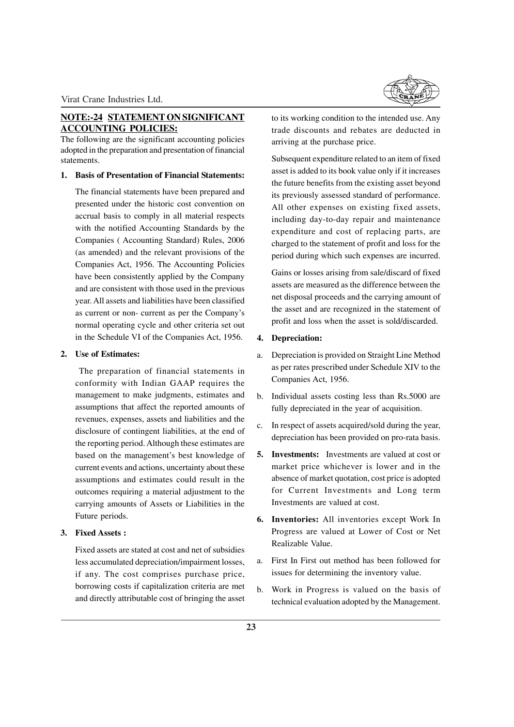## **NOTE:-24 STATEMENT ON SIGNIFICANT ACCOUNTING POLICIES:**

The following are the significant accounting policies adopted in the preparation and presentation of financial statements.

## **1. Basis of Presentation of Financial Statements:**

The financial statements have been prepared and presented under the historic cost convention on accrual basis to comply in all material respects with the notified Accounting Standards by the Companies ( Accounting Standard) Rules, 2006 (as amended) and the relevant provisions of the Companies Act, 1956. The Accounting Policies have been consistently applied by the Company and are consistent with those used in the previous year. All assets and liabilities have been classified as current or non- current as per the Company's normal operating cycle and other criteria set out in the Schedule VI of the Companies Act, 1956.

## **2. Use of Estimates:**

The preparation of financial statements in conformity with Indian GAAP requires the management to make judgments, estimates and assumptions that affect the reported amounts of revenues, expenses, assets and liabilities and the disclosure of contingent liabilities, at the end of the reporting period. Although these estimates are based on the management's best knowledge of current events and actions, uncertainty about these assumptions and estimates could result in the outcomes requiring a material adjustment to the carrying amounts of Assets or Liabilities in the Future periods.

## **3. Fixed Assets :**

Fixed assets are stated at cost and net of subsidies less accumulated depreciation/impairment losses, if any. The cost comprises purchase price, borrowing costs if capitalization criteria are met and directly attributable cost of bringing the asset



to its working condition to the intended use. Any trade discounts and rebates are deducted in arriving at the purchase price.

Subsequent expenditure related to an item of fixed asset is added to its book value only if it increases the future benefits from the existing asset beyond its previously assessed standard of performance. All other expenses on existing fixed assets, including day-to-day repair and maintenance expenditure and cost of replacing parts, are charged to the statement of profit and loss for the period during which such expenses are incurred.

Gains or losses arising from sale/discard of fixed assets are measured as the difference between the net disposal proceeds and the carrying amount of the asset and are recognized in the statement of profit and loss when the asset is sold/discarded.

## **4. Depreciation:**

- a. Depreciation is provided on Straight Line Method as per rates prescribed under Schedule XIV to the Companies Act, 1956.
- b. Individual assets costing less than Rs.5000 are fully depreciated in the year of acquisition.
- c. In respect of assets acquired/sold during the year, depreciation has been provided on pro-rata basis.
- **5. Investments:** Investments are valued at cost or market price whichever is lower and in the absence of market quotation, cost price is adopted for Current Investments and Long term Investments are valued at cost.
- **6. Inventories:** All inventories except Work In Progress are valued at Lower of Cost or Net Realizable Value.
- a. First In First out method has been followed for issues for determining the inventory value.
- b. Work in Progress is valued on the basis of technical evaluation adopted by the Management.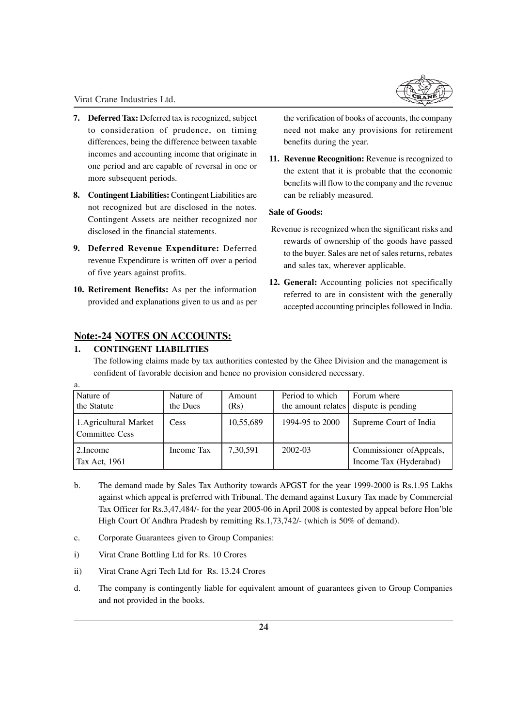- **7. Deferred Tax:** Deferred tax is recognized, subject to consideration of prudence, on timing differences, being the difference between taxable incomes and accounting income that originate in one period and are capable of reversal in one or more subsequent periods.
- **8. Contingent Liabilities:** Contingent Liabilities are not recognized but are disclosed in the notes. Contingent Assets are neither recognized nor disclosed in the financial statements.
- **9. Deferred Revenue Expenditure:** Deferred revenue Expenditure is written off over a period of five years against profits.
- **10. Retirement Benefits:** As per the information provided and explanations given to us and as per

the verification of books of accounts, the company need not make any provisions for retirement benefits during the year.

**11. Revenue Recognition:** Revenue is recognized to the extent that it is probable that the economic benefits will flow to the company and the revenue can be reliably measured.

## **Sale of Goods:**

- Revenue is recognized when the significant risks and rewards of ownership of the goods have passed to the buyer. Sales are net of sales returns, rebates and sales tax, wherever applicable.
- **12. General:** Accounting policies not specifically referred to are in consistent with the generally accepted accounting principles followed in India.

## **Note:-24 NOTES ON ACCOUNTS:**

## **1. CONTINGENT LIABILITIES**

a.

The following claims made by tax authorities contested by the Ghee Division and the management is confident of favorable decision and hence no provision considered necessary.

| Nature of<br>the Statute                 | Nature of<br>the Dues | Amount<br>(Rs) | Period to which<br>the amount relates | Forum where<br>dispute is pending                  |
|------------------------------------------|-----------------------|----------------|---------------------------------------|----------------------------------------------------|
| 1. Agricultural Market<br>Committee Cess | Cess                  | 10,55,689      | 1994-95 to 2000                       | Supreme Court of India                             |
| 2.Income<br>Tax Act, 1961                | Income Tax            | 7,30,591       | 2002-03                               | Commissioner of Appeals,<br>Income Tax (Hyderabad) |

- b. The demand made by Sales Tax Authority towards APGST for the year 1999-2000 is Rs.1.95 Lakhs against which appeal is preferred with Tribunal. The demand against Luxury Tax made by Commercial Tax Officer for Rs.3,47,484/- for the year 2005-06 in April 2008 is contested by appeal before Hon'ble High Court Of Andhra Pradesh by remitting Rs.1,73,742/- (which is 50% of demand).
- c. Corporate Guarantees given to Group Companies:
- i) Virat Crane Bottling Ltd for Rs. 10 Crores
- ii) Virat Crane Agri Tech Ltd for Rs. 13.24 Crores
- d. The company is contingently liable for equivalent amount of guarantees given to Group Companies and not provided in the books.

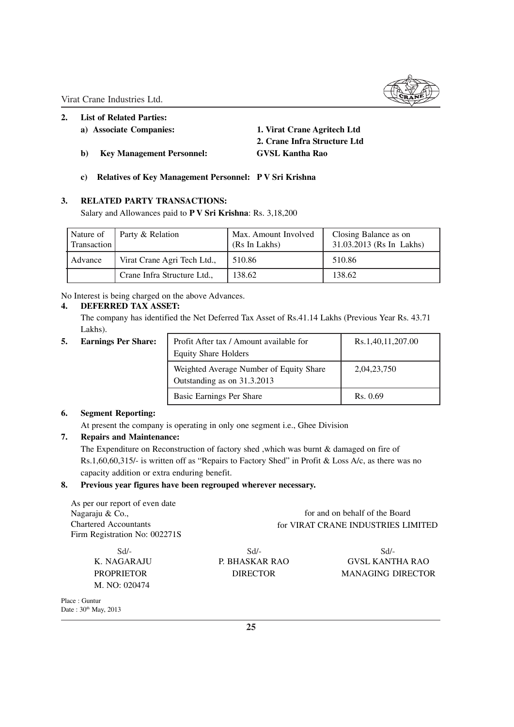## **2. List of Related Parties:**

- 
- **b) Key Management Personnel: GVSL Kantha Rao**

**a) Associate Companies: 1. Virat Crane Agritech Ltd 2. Crane Infra Structure Ltd**

**c) Relatives of Key Management Personnel: P V Sri Krishna**

## **3. RELATED PARTY TRANSACTIONS:**

Salary and Allowances paid to **P V Sri Krishna**: Rs. 3,18,200

| Nature of<br>Transaction | Party & Relation            | Max. Amount Involved<br>(Rs In Lakhs) | Closing Balance as on<br>31.03.2013 (Rs In Lakhs) |
|--------------------------|-----------------------------|---------------------------------------|---------------------------------------------------|
| Advance                  | Virat Crane Agri Tech Ltd., | 510.86                                | 510.86                                            |
|                          | Crane Infra Structure Ltd., | 138.62                                | 138.62                                            |

No Interest is being charged on the above Advances.

## **4. DEFERRED TAX ASSET:**

The company has identified the Net Deferred Tax Asset of Rs.41.14 Lakhs (Previous Year Rs. 43.71 Lakhs).

**5.** Earnings Per Share:

| Profit After tax / Amount available for | Rs.1,40,11,207.00 |
|-----------------------------------------|-------------------|
| <b>Equity Share Holders</b>             |                   |
| Weighted Average Number of Equity Share | 2,04,23,750       |
| Outstanding as on 31.3.2013             |                   |
| Basic Earnings Per Share                | Rs. 0.69          |

## **6. Segment Reporting:**

At present the company is operating in only one segment i.e., Ghee Division

## **7. Repairs and Maintenance:**

The Expenditure on Reconstruction of factory shed ,which was burnt & damaged on fire of Rs.1,60,60,315/- is written off as "Repairs to Factory Shed" in Profit & Loss A/c, as there was no capacity addition or extra enduring benefit.

## **8. Previous year figures have been regrouped wherever necessary.**

| As per our report of even date |                                |                                    |
|--------------------------------|--------------------------------|------------------------------------|
| Nagaraju & Co.,                | for and on behalf of the Board |                                    |
| <b>Chartered Accountants</b>   |                                | for VIRAT CRANE INDUSTRIES LIMITED |
| Firm Registration No: 002271S  |                                |                                    |
| Sd                             | $Sd/-$                         | Sd                                 |
| K. NAGARAJU                    | P. BHASKAR RAO                 | <b>GVSL KANTHA RAO</b>             |
| <b>PROPRIETOR</b>              | <b>DIRECTOR</b>                | <b>MANAGING DIRECTOR</b>           |
| M. NO: 020474                  |                                |                                    |
| Place: Guntur                  |                                |                                    |
| Date: $30^{th}$ May, 2013      |                                |                                    |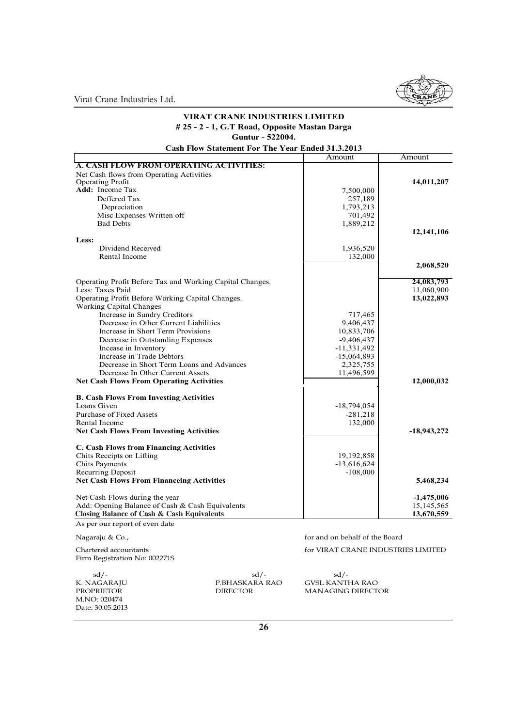## Amount Amount **A. CASH FLOW FROM OPERATING ACTIVITIES:** Net Cash flows from Operating Activities Operating Profit **14,011,207**<br> **Add:** Income Tax **14,011,207 Add:** Income Tax 7,500,000 Deffered Tax 257,189 Deffered Tax 257,189<br>Depreciation 1,793,213 Depreciation 1,793,213<br>Misc Expenses Written off 701,492 Misc Expenses Written off 701,492<br>Bad Debts 1,889,212 Bad Debts 1,889,212 **12,141,106 Less:** Dividend Received 1,936,520<br>
Rental Income 132,000 Rental Income **2,068,520** Operating Profit Before Tax and Working Capital Changes.<br>
Less: Taxes Paid 11,060,900 Less: Taxes Paid 11,060,900<br>
Operating Profit Before Working Capital Changes. 13,022,893<br>
13,022,893 Operating Profit Before Working Capital Changes. Working Capital Changes Increase in Sundry Creditors 717,465<br>Decrease in Other Current Liabilities 9,406,437 Decrease in Other Current Liabilities 9,406,437<br>Increase in Short Term Provisions 10,833,706 Increase in Short Term Provisions 10,833,706<br>Decrease in Outstanding Expenses 10,833,706 Decrease in Outstanding Expenses -9,406,437<br>Incease in Inventory -11.331.492 Incease in Inventory 11,331,492<br>Increase in Trade Debtors 15,064,893 Increase in Trade Debtors -15,064,893<br>Decrease in Short Term Loans and Advances 2,325,755 Decrease in Short Term Loans and Advances<br>Decrease In Other Current Assets<br>11,496,599 Decrease In Other Current Assets **Net Cash Flows From Operating Activities 12,000,032 12,000,032 B. Cash Flows From Investing Activities**  $-18,794,054$ <br> $-281,218$ Purchase of Fixed Assets -281,218<br>Rental Income 132,000 Rental Income **Net Cash Flows From Investing Activities 18,943,272 <b>18,943,272 C. Cash Flows from Financing Activities** Chits Receipts on Lifting 19, 192,858 Chits Payments -13,616,624<br>Recurring Deposit -108,000 Recurring Deposit **Net Cash Flows From Financeing Activities 5,468,234**  Net Cash Flows during the year<br>Add: Opening Balance of Cash & Cash Equivalents 15,145,565 Add: Opening Balance of Cash & Cash Equivalents 15,145,565<br>
Closing Balance of Cash & Cash Equivalents 13,670,559<br>
13,670,559 Closing Balance of Cash & Cash Equivalents **13,670,559 Closing Balance of Cash & Cash Equivalents**As per our report of even date **VIRAT CRANE INDUSTRIES LIMITED # 25 - 2 - 1, G.T Road, Opposite Mastan Darga Guntur - 522004. Cash Flow Statement For The Year Ended 31.3.2013**

Nagaraju & Co., **however a contract of the Board** for and on behalf of the Board

Firm Registration No: 002271S

M.NO: 020474 Date: 30.05.2013

 $sd/$ - sd/- sd/- sd/-K. NAGARAJU P.BHASKARA RAO GVSL KANTHA RAO

Chartered accountants for VIRAT CRANE INDUSTRIES LIMITED

**MANAGING DIRECTOR**